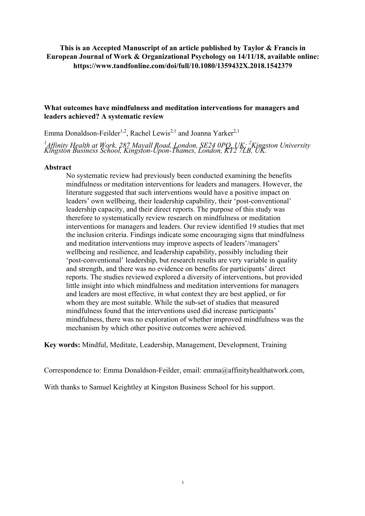# **This is an Accepted Manuscript of an article published by Taylor & Francis in European Journal of Work & Organizational Psychology on 14/11/18, available online: https://www.tandfonline.com/doi/full/10.1080/1359432X.2018.1542379**

# **What outcomes have mindfulness and meditation interventions for managers and leaders achieved? A systematic review**

Emma Donaldson-Feilder<sup>1,2</sup>, Rachel Lewis<sup>2,1</sup> and Joanna Yarker<sup>2,1</sup>

<sup>1</sup>Affinity Health at Work, 287 Mayall Road, London, SE24 0PQ, UK; <sup>2</sup>Kingston University *Kingston Business School, Kingston-Upon-Thames, London, KT2 7LB, UK.* 

# **Abstract**

No systematic review had previously been conducted examining the benefits mindfulness or meditation interventions for leaders and managers. However, the literature suggested that such interventions would have a positive impact on leaders' own wellbeing, their leadership capability, their 'post-conventional' leadership capacity, and their direct reports. The purpose of this study was therefore to systematically review research on mindfulness or meditation interventions for managers and leaders. Our review identified 19 studies that met the inclusion criteria. Findings indicate some encouraging signs that mindfulness and meditation interventions may improve aspects of leaders'/managers' wellbeing and resilience, and leadership capability, possibly including their 'post-conventional' leadership, but research results are very variable in quality and strength, and there was no evidence on benefits for participants' direct reports. The studies reviewed explored a diversity of interventions, but provided little insight into which mindfulness and meditation interventions for managers and leaders are most effective, in what context they are best applied, or for whom they are most suitable. While the sub-set of studies that measured mindfulness found that the interventions used did increase participants' mindfulness, there was no exploration of whether improved mindfulness was the mechanism by which other positive outcomes were achieved.

**Key words:** Mindful, Meditate, Leadership, Management, Development, Training

Correspondence to: Emma Donaldson-Feilder, email: emma@affinityhealthatwork.com,

With thanks to Samuel Keightley at Kingston Business School for his support.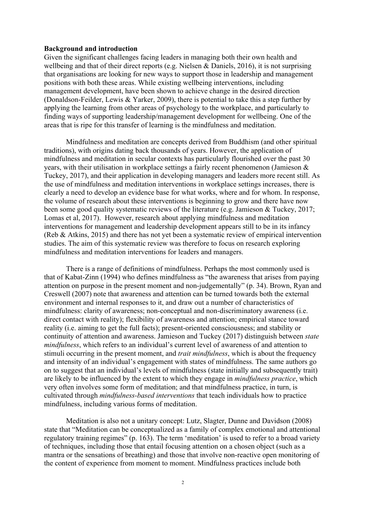### **Background and introduction**

Given the significant challenges facing leaders in managing both their own health and wellbeing and that of their direct reports (e.g. Nielsen & Daniels, 2016), it is not surprising that organisations are looking for new ways to support those in leadership and management positions with both these areas. While existing wellbeing interventions, including management development, have been shown to achieve change in the desired direction (Donaldson-Feilder, Lewis & Yarker, 2009), there is potential to take this a step further by applying the learning from other areas of psychology to the workplace, and particularly to finding ways of supporting leadership/management development for wellbeing. One of the areas that is ripe for this transfer of learning is the mindfulness and meditation.

Mindfulness and meditation are concepts derived from Buddhism (and other spiritual traditions), with origins dating back thousands of years. However, the application of mindfulness and meditation in secular contexts has particularly flourished over the past 30 years, with their utilisation in workplace settings a fairly recent phenomenon (Jamieson & Tuckey, 2017), and their application in developing managers and leaders more recent still. As the use of mindfulness and meditation interventions in workplace settings increases, there is clearly a need to develop an evidence base for what works, where and for whom. In response, the volume of research about these interventions is beginning to grow and there have now been some good quality systematic reviews of the literature (e.g. Jamieson & Tuckey, 2017; Lomas et al, 2017). However, research about applying mindfulness and meditation interventions for management and leadership development appears still to be in its infancy (Reb & Atkins, 2015) and there has not yet been a systematic review of empirical intervention studies. The aim of this systematic review was therefore to focus on research exploring mindfulness and meditation interventions for leaders and managers.

There is a range of definitions of mindfulness. Perhaps the most commonly used is that of Kabat-Zinn (1994) who defines mindfulness as "the awareness that arises from paying attention on purpose in the present moment and non-judgementally" (p. 34). Brown, Ryan and Creswell (2007) note that awareness and attention can be turned towards both the external environment and internal responses to it, and draw out a number of characteristics of mindfulness: clarity of awareness; non-conceptual and non-discriminatory awareness (i.e. direct contact with reality); flexibility of awareness and attention; empirical stance toward reality (i.e. aiming to get the full facts); present-oriented consciousness; and stability or continuity of attention and awareness. Jamieson and Tuckey (2017) distinguish between *state mindfulness*, which refers to an individual's current level of awareness of and attention to stimuli occurring in the present moment, and *trait mindfulness*, which is about the frequency and intensity of an individual's engagement with states of mindfulness. The same authors go on to suggest that an individual's levels of mindfulness (state initially and subsequently trait) are likely to be influenced by the extent to which they engage in *mindfulness practice*, which very often involves some form of meditation; and that mindfulness practice, in turn, is cultivated through *mindfulness-based interventions* that teach individuals how to practice mindfulness, including various forms of meditation.

Meditation is also not a unitary concept: Lutz, Slagter, Dunne and Davidson (2008) state that "Meditation can be conceptualized as a family of complex emotional and attentional regulatory training regimes" (p. 163). The term 'meditation' is used to refer to a broad variety of techniques, including those that entail focusing attention on a chosen object (such as a mantra or the sensations of breathing) and those that involve non-reactive open monitoring of the content of experience from moment to moment. Mindfulness practices include both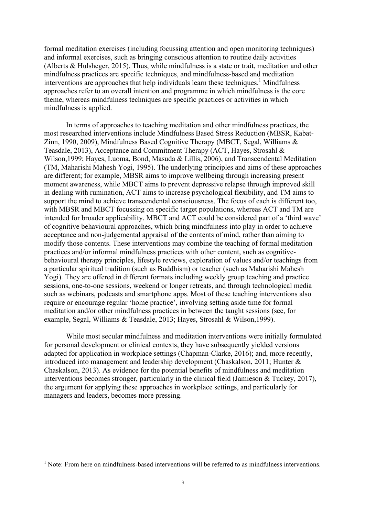formal meditation exercises (including focussing attention and open monitoring techniques) and informal exercises, such as bringing conscious attention to routine daily activities (Alberts & Hulsheger, 2015). Thus, while mindfulness is a state or trait, meditation and other mindfulness practices are specific techniques, and mindfulness-based and meditation interventions are approaches that help individuals learn these techniques.<sup>1</sup> Mindfulness approaches refer to an overall intention and programme in which mindfulness is the core theme, whereas mindfulness techniques are specific practices or activities in which mindfulness is applied.

In terms of approaches to teaching meditation and other mindfulness practices, the most researched interventions include Mindfulness Based Stress Reduction (MBSR, Kabat-Zinn, 1990, 2009), Mindfulness Based Cognitive Therapy (MBCT, Segal, Williams & Teasdale, 2013), Acceptance and Commitment Therapy (ACT, Hayes, Strosahl & Wilson,1999; Hayes, Luoma, Bond, Masuda & Lillis, 2006), and Transcendental Meditation (TM, Maharishi Mahesh Yogi, 1995). The underlying principles and aims of these approaches are different; for example, MBSR aims to improve wellbeing through increasing present moment awareness, while MBCT aims to prevent depressive relapse through improved skill in dealing with rumination, ACT aims to increase psychological flexibility, and TM aims to support the mind to achieve transcendental consciousness. The focus of each is different too, with MBSR and MBCT focussing on specific target populations, whereas ACT and TM are intended for broader applicability. MBCT and ACT could be considered part of a 'third wave' of cognitive behavioural approaches, which bring mindfulness into play in order to achieve acceptance and non-judgemental appraisal of the contents of mind, rather than aiming to modify those contents. These interventions may combine the teaching of formal meditation practices and/or informal mindfulness practices with other content, such as cognitivebehavioural therapy principles, lifestyle reviews, exploration of values and/or teachings from a particular spiritual tradition (such as Buddhism) or teacher (such as Maharishi Mahesh Yogi). They are offered in different formats including weekly group teaching and practice sessions, one-to-one sessions, weekend or longer retreats, and through technological media such as webinars, podcasts and smartphone apps. Most of these teaching interventions also require or encourage regular 'home practice', involving setting aside time for formal meditation and/or other mindfulness practices in between the taught sessions (see, for example, Segal, Williams & Teasdale, 2013; Hayes, Strosahl & Wilson,1999).

While most secular mindfulness and meditation interventions were initially formulated for personal development or clinical contexts, they have subsequently yielded versions adapted for application in workplace settings (Chapman-Clarke, 2016); and, more recently, introduced into management and leadership development (Chaskalson, 2011; Hunter & Chaskalson, 2013). As evidence for the potential benefits of mindfulness and meditation interventions becomes stronger, particularly in the clinical field (Jamieson & Tuckey, 2017), the argument for applying these approaches in workplace settings, and particularly for managers and leaders, becomes more pressing.

 $\overline{a}$ 

<sup>&</sup>lt;sup>1</sup> Note: From here on mindfulness-based interventions will be referred to as mindfulness interventions.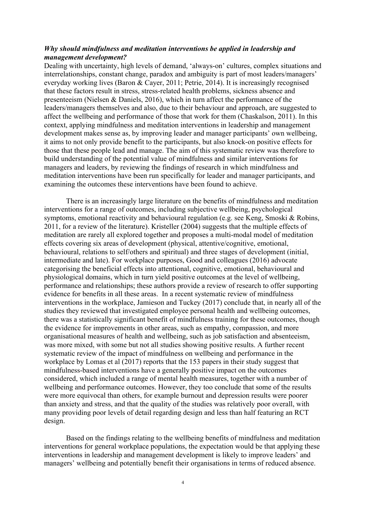# *Why should mindfulness and meditation interventions be applied in leadership and management development?*

Dealing with uncertainty, high levels of demand, 'always-on' cultures, complex situations and interrelationships, constant change, paradox and ambiguity is part of most leaders/managers' everyday working lives (Baron & Cayer, 2011; Petrie, 2014). It is increasingly recognised that these factors result in stress, stress-related health problems, sickness absence and presenteeism (Nielsen & Daniels, 2016), which in turn affect the performance of the leaders/managers themselves and also, due to their behaviour and approach, are suggested to affect the wellbeing and performance of those that work for them (Chaskalson, 2011). In this context, applying mindfulness and meditation interventions in leadership and management development makes sense as, by improving leader and manager participants' own wellbeing, it aims to not only provide benefit to the participants, but also knock-on positive effects for those that these people lead and manage. The aim of this systematic review was therefore to build understanding of the potential value of mindfulness and similar interventions for managers and leaders, by reviewing the findings of research in which mindfulness and meditation interventions have been run specifically for leader and manager participants, and examining the outcomes these interventions have been found to achieve.

There is an increasingly large literature on the benefits of mindfulness and meditation interventions for a range of outcomes, including subjective wellbeing, psychological symptoms, emotional reactivity and behavioural regulation (e.g. see Keng, Smoski & Robins, 2011, for a review of the literature). Kristeller (2004) suggests that the multiple effects of meditation are rarely all explored together and proposes a multi-modal model of meditation effects covering six areas of development (physical, attentive/cognitive, emotional, behavioural, relations to self/others and spiritual) and three stages of development (initial, intermediate and late). For workplace purposes, Good and colleagues (2016) advocate categorising the beneficial effects into attentional, cognitive, emotional, behavioural and physiological domains, which in turn yield positive outcomes at the level of wellbeing, performance and relationships; these authors provide a review of research to offer supporting evidence for benefits in all these areas. In a recent systematic review of mindfulness interventions in the workplace, Jamieson and Tuckey (2017) conclude that, in nearly all of the studies they reviewed that investigated employee personal health and wellbeing outcomes, there was a statistically significant benefit of mindfulness training for these outcomes, though the evidence for improvements in other areas, such as empathy, compassion, and more organisational measures of health and wellbeing, such as job satisfaction and absenteeism, was more mixed, with some but not all studies showing positive results. A further recent systematic review of the impact of mindfulness on wellbeing and performance in the workplace by Lomas et al (2017) reports that the 153 papers in their study suggest that mindfulness-based interventions have a generally positive impact on the outcomes considered, which included a range of mental health measures, together with a number of wellbeing and performance outcomes. However, they too conclude that some of the results were more equivocal than others, for example burnout and depression results were poorer than anxiety and stress, and that the quality of the studies was relatively poor overall, with many providing poor levels of detail regarding design and less than half featuring an RCT design.

Based on the findings relating to the wellbeing benefits of mindfulness and meditation interventions for general workplace populations, the expectation would be that applying these interventions in leadership and management development is likely to improve leaders' and managers' wellbeing and potentially benefit their organisations in terms of reduced absence.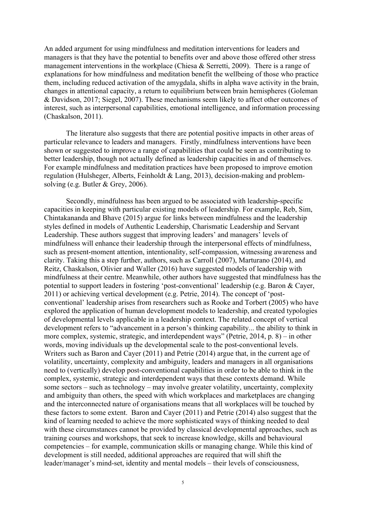An added argument for using mindfulness and meditation interventions for leaders and managers is that they have the potential to benefits over and above those offered other stress management interventions in the workplace (Chiesa & Serretti, 2009). There is a range of explanations for how mindfulness and meditation benefit the wellbeing of those who practice them, including reduced activation of the amygdala, shifts in alpha wave activity in the brain, changes in attentional capacity, a return to equilibrium between brain hemispheres (Goleman & Davidson, 2017; Siegel, 2007). These mechanisms seem likely to affect other outcomes of interest, such as interpersonal capabilities, emotional intelligence, and information processing (Chaskalson, 2011).

The literature also suggests that there are potential positive impacts in other areas of particular relevance to leaders and managers. Firstly, mindfulness interventions have been shown or suggested to improve a range of capabilities that could be seen as contributing to better leadership, though not actually defined as leadership capacities in and of themselves. For example mindfulness and meditation practices have been proposed to improve emotion regulation (Hulsheger, Alberts, Feinholdt & Lang, 2013), decision-making and problemsolving (e.g. Butler & Grey, 2006).

Secondly, mindfulness has been argued to be associated with leadership-specific capacities in keeping with particular existing models of leadership. For example, Reb, Sim, Chintakananda and Bhave (2015) argue for links between mindfulness and the leadership styles defined in models of Authentic Leadership, Charismatic Leadership and Servant Leadership. These authors suggest that improving leaders' and managers' levels of mindfulness will enhance their leadership through the interpersonal effects of mindfulness, such as present-moment attention, intentionality, self-compassion, witnessing awareness and clarity. Taking this a step further, authors, such as Carroll (2007), Marturano (2014), and Reitz, Chaskalson, Olivier and Waller (2016) have suggested models of leadership with mindfulness at their centre. Meanwhile, other authors have suggested that mindfulness has the potential to support leaders in fostering 'post-conventional' leadership (e.g. Baron & Cayer, 2011) or achieving vertical development (e.g. Petrie, 2014). The concept of 'postconventional' leadership arises from researchers such as Rooke and Torbert (2005) who have explored the application of human development models to leadership, and created typologies of developmental levels applicable in a leadership context. The related concept of vertical development refers to "advancement in a person's thinking capability... the ability to think in more complex, systemic, strategic, and interdependent ways" (Petrie, 2014, p. 8) – in other words, moving individuals up the developmental scale to the post-conventional levels. Writers such as Baron and Cayer (2011) and Petrie (2014) argue that, in the current age of volatility, uncertainty, complexity and ambiguity, leaders and managers in all organisations need to (vertically) develop post-conventional capabilities in order to be able to think in the complex, systemic, strategic and interdependent ways that these contexts demand. While some sectors – such as technology – may involve greater volatility, uncertainty, complexity and ambiguity than others, the speed with which workplaces and marketplaces are changing and the interconnected nature of organisations means that all workplaces will be touched by these factors to some extent. Baron and Cayer (2011) and Petrie (2014) also suggest that the kind of learning needed to achieve the more sophisticated ways of thinking needed to deal with these circumstances cannot be provided by classical developmental approaches, such as training courses and workshops, that seek to increase knowledge, skills and behavioural competencies – for example, communication skills or managing change. While this kind of development is still needed, additional approaches are required that will shift the leader/manager's mind-set, identity and mental models – their levels of consciousness,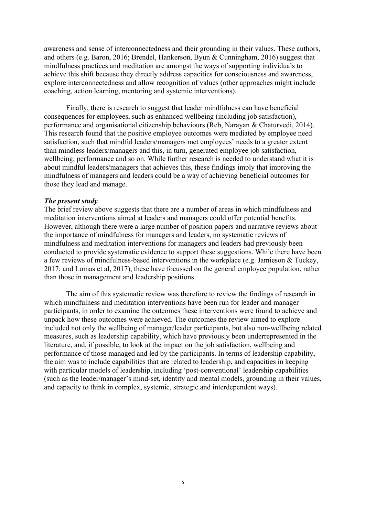awareness and sense of interconnectedness and their grounding in their values. These authors, and others (e.g. Baron, 2016; Brendel, Hankerson, Byun & Cunningham, 2016) suggest that mindfulness practices and meditation are amongst the ways of supporting individuals to achieve this shift because they directly address capacities for consciousness and awareness, explore interconnectedness and allow recognition of values (other approaches might include coaching, action learning, mentoring and systemic interventions).

Finally, there is research to suggest that leader mindfulness can have beneficial consequences for employees, such as enhanced wellbeing (including job satisfaction), performance and organisational citizenship behaviours (Reb, Narayan & Chaturvedi, 2014). This research found that the positive employee outcomes were mediated by employee need satisfaction, such that mindful leaders/managers met employees' needs to a greater extent than mindless leaders/managers and this, in turn, generated employee job satisfaction, wellbeing, performance and so on. While further research is needed to understand what it is about mindful leaders/managers that achieves this, these findings imply that improving the mindfulness of managers and leaders could be a way of achieving beneficial outcomes for those they lead and manage.

### *The present study*

The brief review above suggests that there are a number of areas in which mindfulness and meditation interventions aimed at leaders and managers could offer potential benefits. However, although there were a large number of position papers and narrative reviews about the importance of mindfulness for managers and leaders, no systematic reviews of mindfulness and meditation interventions for managers and leaders had previously been conducted to provide systematic evidence to support these suggestions. While there have been a few reviews of mindfulness-based interventions in the workplace (e.g. Jamieson & Tuckey, 2017; and Lomas et al, 2017), these have focussed on the general employee population, rather than those in management and leadership positions.

The aim of this systematic review was therefore to review the findings of research in which mindfulness and meditation interventions have been run for leader and manager participants, in order to examine the outcomes these interventions were found to achieve and unpack how these outcomes were achieved. The outcomes the review aimed to explore included not only the wellbeing of manager/leader participants, but also non-wellbeing related measures, such as leadership capability, which have previously been underrepresented in the literature, and, if possible, to look at the impact on the job satisfaction, wellbeing and performance of those managed and led by the participants. In terms of leadership capability, the aim was to include capabilities that are related to leadership, and capacities in keeping with particular models of leadership, including 'post-conventional' leadership capabilities (such as the leader/manager's mind-set, identity and mental models, grounding in their values, and capacity to think in complex, systemic, strategic and interdependent ways).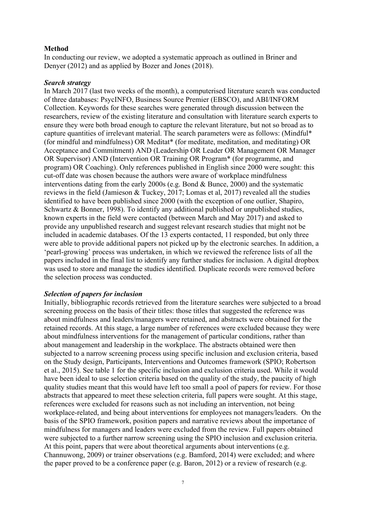# **Method**

In conducting our review, we adopted a systematic approach as outlined in Briner and Denyer (2012) and as applied by Bozer and Jones (2018).

### *Search strategy*

In March 2017 (last two weeks of the month), a computerised literature search was conducted of three databases: PsycINFO, Business Source Premier (EBSCO), and ABI/INFORM Collection. Keywords for these searches were generated through discussion between the researchers, review of the existing literature and consultation with literature search experts to ensure they were both broad enough to capture the relevant literature, but not so broad as to capture quantities of irrelevant material. The search parameters were as follows: (Mindful\* (for mindful and mindfulness) OR Meditat\* (for meditate, meditation, and meditating) OR Acceptance and Commitment) AND (Leadership OR Leader OR Management OR Manager OR Supervisor) AND (Intervention OR Training OR Program\* (for programme, and program) OR Coaching). Only references published in English since 2000 were sought: this cut-off date was chosen because the authors were aware of workplace mindfulness interventions dating from the early 2000s (e.g. Bond & Bunce, 2000) and the systematic reviews in the field (Jamieson & Tuckey, 2017; Lomas et al, 2017) revealed all the studies identified to have been published since 2000 (with the exception of one outlier, Shapiro, Schwartz & Bonner, 1998). To identify any additional published or unpublished studies, known experts in the field were contacted (between March and May 2017) and asked to provide any unpublished research and suggest relevant research studies that might not be included in academic databases. Of the 13 experts contacted, 11 responded, but only three were able to provide additional papers not picked up by the electronic searches. In addition, a 'pearl-growing' process was undertaken, in which we reviewed the reference lists of all the papers included in the final list to identify any further studies for inclusion. A digital dropbox was used to store and manage the studies identified. Duplicate records were removed before the selection process was conducted.

### *Selection of papers for inclusion*

Initially, bibliographic records retrieved from the literature searches were subjected to a broad screening process on the basis of their titles: those titles that suggested the reference was about mindfulness and leaders/managers were retained, and abstracts were obtained for the retained records. At this stage, a large number of references were excluded because they were about mindfulness interventions for the management of particular conditions, rather than about management and leadership in the workplace. The abstracts obtained were then subjected to a narrow screening process using specific inclusion and exclusion criteria, based on the Study design, Participants, Interventions and Outcomes framework (SPIO; Robertson et al., 2015). See table 1 for the specific inclusion and exclusion criteria used. While it would have been ideal to use selection criteria based on the quality of the study, the paucity of high quality studies meant that this would have left too small a pool of papers for review. For those abstracts that appeared to meet these selection criteria, full papers were sought. At this stage, references were excluded for reasons such as not including an intervention, not being workplace-related, and being about interventions for employees not managers/leaders. On the basis of the SPIO framework, position papers and narrative reviews about the importance of mindfulness for managers and leaders were excluded from the review. Full papers obtained were subjected to a further narrow screening using the SPIO inclusion and exclusion criteria. At this point, papers that were about theoretical arguments about interventions (e.g. Channuwong, 2009) or trainer observations (e.g. Bamford, 2014) were excluded; and where the paper proved to be a conference paper (e.g. Baron, 2012) or a review of research (e.g.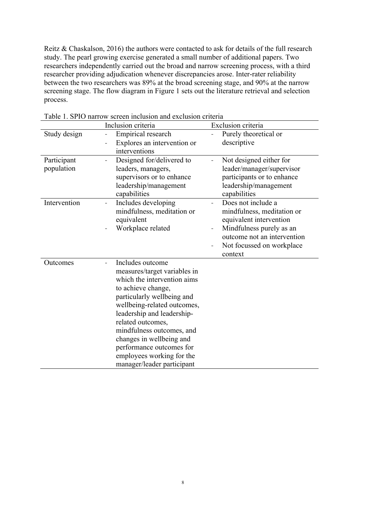Reitz & Chaskalson, 2016) the authors were contacted to ask for details of the full research study. The pearl growing exercise generated a small number of additional papers. Two researchers independently carried out the broad and narrow screening process, with a third researcher providing adjudication whenever discrepancies arose. Inter-rater reliability between the two researchers was 89% at the broad screening stage, and 90% at the narrow screening stage. The flow diagram in Figure 1 sets out the literature retrieval and selection process.

|                           | Inclusion criteria                                                                                                                                                                                                                                                                                                                                                    | Exclusion criteria                                                                                                                                                             |
|---------------------------|-----------------------------------------------------------------------------------------------------------------------------------------------------------------------------------------------------------------------------------------------------------------------------------------------------------------------------------------------------------------------|--------------------------------------------------------------------------------------------------------------------------------------------------------------------------------|
| Study design              | Empirical research<br>$\overline{a}$<br>Explores an intervention or<br>interventions                                                                                                                                                                                                                                                                                  | Purely theoretical or<br>$\overline{\phantom{a}}$<br>descriptive                                                                                                               |
| Participant<br>population | Designed for/delivered to<br>leaders, managers,<br>supervisors or to enhance<br>leadership/management<br>capabilities                                                                                                                                                                                                                                                 | Not designed either for<br>leader/manager/supervisor<br>participants or to enhance<br>leadership/management<br>capabilities                                                    |
| Intervention              | Includes developing<br>$\overline{a}$<br>mindfulness, meditation or<br>equivalent<br>Workplace related                                                                                                                                                                                                                                                                | Does not include a<br>mindfulness, meditation or<br>equivalent intervention<br>Mindfulness purely as an<br>outcome not an intervention<br>Not focussed on workplace<br>context |
| Outcomes                  | Includes outcome<br>measures/target variables in<br>which the intervention aims<br>to achieve change,<br>particularly wellbeing and<br>wellbeing-related outcomes,<br>leadership and leadership-<br>related outcomes,<br>mindfulness outcomes, and<br>changes in wellbeing and<br>performance outcomes for<br>employees working for the<br>manager/leader participant |                                                                                                                                                                                |

Table 1. SPIO narrow screen inclusion and exclusion criteria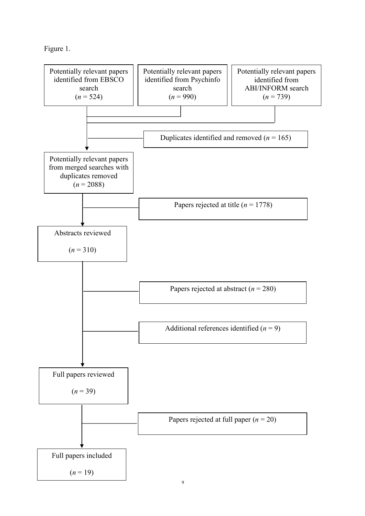```
Figure 1.
```
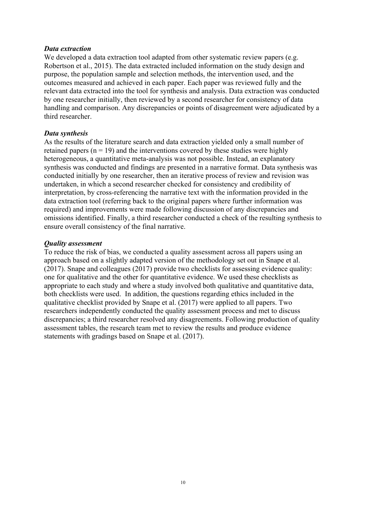# *Data extraction*

We developed a data extraction tool adapted from other systematic review papers (e.g. Robertson et al., 2015). The data extracted included information on the study design and purpose, the population sample and selection methods, the intervention used, and the outcomes measured and achieved in each paper. Each paper was reviewed fully and the relevant data extracted into the tool for synthesis and analysis. Data extraction was conducted by one researcher initially, then reviewed by a second researcher for consistency of data handling and comparison. Any discrepancies or points of disagreement were adjudicated by a third researcher.

# *Data synthesis*

As the results of the literature search and data extraction yielded only a small number of retained papers ( $n = 19$ ) and the interventions covered by these studies were highly heterogeneous, a quantitative meta-analysis was not possible. Instead, an explanatory synthesis was conducted and findings are presented in a narrative format. Data synthesis was conducted initially by one researcher, then an iterative process of review and revision was undertaken, in which a second researcher checked for consistency and credibility of interpretation, by cross-referencing the narrative text with the information provided in the data extraction tool (referring back to the original papers where further information was required) and improvements were made following discussion of any discrepancies and omissions identified. Finally, a third researcher conducted a check of the resulting synthesis to ensure overall consistency of the final narrative.

## *Quality assessment*

To reduce the risk of bias, we conducted a quality assessment across all papers using an approach based on a slightly adapted version of the methodology set out in Snape et al. (2017). Snape and colleagues (2017) provide two checklists for assessing evidence quality: one for qualitative and the other for quantitative evidence. We used these checklists as appropriate to each study and where a study involved both qualitative and quantitative data, both checklists were used. In addition, the questions regarding ethics included in the qualitative checklist provided by Snape et al. (2017) were applied to all papers. Two researchers independently conducted the quality assessment process and met to discuss discrepancies; a third researcher resolved any disagreements. Following production of quality assessment tables, the research team met to review the results and produce evidence statements with gradings based on Snape et al. (2017).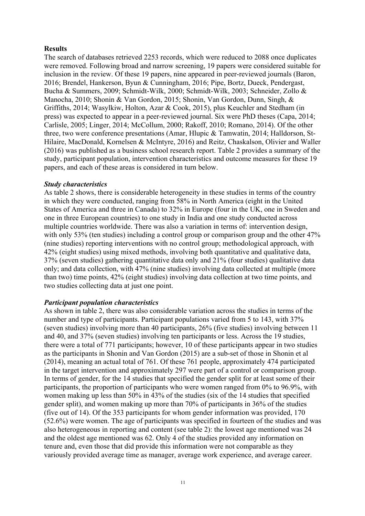# **Results**

The search of databases retrieved 2253 records, which were reduced to 2088 once duplicates were removed. Following broad and narrow screening, 19 papers were considered suitable for inclusion in the review. Of these 19 papers, nine appeared in peer-reviewed journals (Baron, 2016; Brendel, Hankerson, Byun & Cunningham, 2016; Pipe, Bortz, Dueck, Pendergast, Bucha & Summers, 2009; Schmidt-Wilk, 2000; Schmidt-Wilk, 2003; Schneider, Zollo & Manocha, 2010; Shonin & Van Gordon, 2015; Shonin, Van Gordon, Dunn, Singh, & Griffiths, 2014; Wasylkiw, Holton, Azar & Cook, 2015), plus Keuchler and Stedham (in press) was expected to appear in a peer-reviewed journal. Six were PhD theses (Capa, 2014; Carlisle, 2005; Linger, 2014; McCollum, 2000; Rakoff, 2010; Romano, 2014). Of the other three, two were conference presentations (Amar, Hlupic & Tamwatin, 2014; Halldorson, St-Hilaire, MacDonald, Kornelsen & McIntyre, 2016) and Reitz, Chaskalson, Olivier and Waller (2016) was published as a business school research report. Table 2 provides a summary of the study, participant population, intervention characteristics and outcome measures for these 19 papers, and each of these areas is considered in turn below.

# *Study characteristics*

As table 2 shows, there is considerable heterogeneity in these studies in terms of the country in which they were conducted, ranging from 58% in North America (eight in the United States of America and three in Canada) to 32% in Europe (four in the UK, one in Sweden and one in three European countries) to one study in India and one study conducted across multiple countries worldwide. There was also a variation in terms of: intervention design, with only 53% (ten studies) including a control group or comparison group and the other 47% (nine studies) reporting interventions with no control group; methodological approach, with 42% (eight studies) using mixed methods, involving both quantitative and qualitative data, 37% (seven studies) gathering quantitative data only and 21% (four studies) qualitative data only; and data collection, with 47% (nine studies) involving data collected at multiple (more than two) time points, 42% (eight studies) involving data collection at two time points, and two studies collecting data at just one point.

# *Participant population characteristics*

As shown in table 2, there was also considerable variation across the studies in terms of the number and type of participants. Participant populations varied from 5 to 143, with 37% (seven studies) involving more than 40 participants, 26% (five studies) involving between 11 and 40, and 37% (seven studies) involving ten participants or less. Across the 19 studies, there were a total of 771 participants; however, 10 of these participants appear in two studies as the participants in Shonin and Van Gordon (2015) are a sub-set of those in Shonin et al (2014), meaning an actual total of 761. Of these 761 people, approximately 474 participated in the target intervention and approximately 297 were part of a control or comparison group. In terms of gender, for the 14 studies that specified the gender split for at least some of their participants, the proportion of participants who were women ranged from 0% to 96.9%, with women making up less than 50% in 43% of the studies (six of the 14 studies that specified gender split), and women making up more than 70% of participants in 36% of the studies (five out of 14). Of the 353 participants for whom gender information was provided, 170 (52.6%) were women. The age of participants was specified in fourteen of the studies and was also heterogeneous in reporting and content (see table 2): the lowest age mentioned was 24 and the oldest age mentioned was 62. Only 4 of the studies provided any information on tenure and, even those that did provide this information were not comparable as they variously provided average time as manager, average work experience, and average career.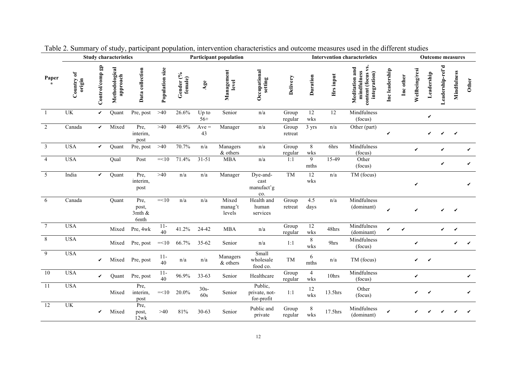|                 |                      |                                                                           | <b>Study characteristics</b> |                                       |                       |                                 |                         | <b>Participant population</b> |                                        |                  |                        | <b>Intervention characteristics</b> | <b>Outcome measures</b>                                             |               |          |                |            |                  |              |              |
|-----------------|----------------------|---------------------------------------------------------------------------|------------------------------|---------------------------------------|-----------------------|---------------------------------|-------------------------|-------------------------------|----------------------------------------|------------------|------------------------|-------------------------------------|---------------------------------------------------------------------|---------------|----------|----------------|------------|------------------|--------------|--------------|
| Paper           | Country of<br>origin | Control/comp gp                                                           | Methodological<br>approach   | Data collection                       | Population size       | Gender <sup>(%</sup><br>female) | $\mathbf{Age}$          | Management<br>level           | Occupational<br>setting                | Delivery         | Duration               | Hrs input                           | content (focus vs.<br>Meditation and<br>mindfulness<br>integration) | Incleadership | Incother | Wellbeing/resi | Leadership | Leadership-rel'd | Mindfulness  | Other        |
| $\overline{1}$  | UK                   | $\checkmark$                                                              | Quant                        | Pre, post                             | $>40$                 | 26.6%                           | Up to<br>$56+$          | Senior                        | n/a                                    | Group<br>regular | 12<br>wks              | $12\,$                              | Mindfulness<br>(focus)                                              |               |          |                | ✓          |                  |              |              |
| 2               | Canada               | $\checkmark$                                                              | Mixed                        | Pre,<br>interim,<br>post              | $>40$                 | 40.9%                           | $Ave =$<br>43           | Manager                       | n/a                                    | Group<br>retreat | 3 yrs                  | n/a                                 | Other (part)                                                        | ✔             |          |                | ✓          |                  | ✔            |              |
| $\mathfrak{Z}$  | <b>USA</b>           | ✓                                                                         | Quant                        | Pre, post                             | $>40$                 | 70.7%                           | n/a                     | Managers<br>& others          | n/a                                    | Group<br>regular | $\,8\,$<br>wks         | 6hrs                                | Mindfulness<br>(focus)                                              |               |          | $\checkmark$   |            | ✓                |              | $\checkmark$ |
| $\overline{4}$  | <b>USA</b>           |                                                                           | Qual                         | Post                                  | $= < 10$              | 71.4%                           | $31 - 51$               | <b>MBA</b>                    | $\mathrm{n}/\mathrm{a}$                | 1:1              | 9<br>mths              | $15-49$                             | Other<br>(focus)                                                    |               |          |                |            | ✓                |              | $\checkmark$ |
| 5               | India                | ✓                                                                         | Quant                        | Pre,<br>interim,<br>post              | $>40$                 | $\mathrm{n}/\mathrm{a}$         | $\mathrm{n}/\mathrm{a}$ | Manager                       | Dye-and-<br>cast<br>manufact'g<br>co.  | <b>TM</b>        | $\overline{12}$<br>wks | $\mathrm{n}/\mathrm{a}$             | TM (focus)                                                          |               |          | ✓              |            |                  |              | ✓            |
| 6               | Canada               |                                                                           | Quant                        | Pre,<br>post,<br>$3$ mth $\&$<br>6mth | $=<10$                | $\mathrm{n}/\mathrm{a}$         | n/a                     | Mixed<br>manag't<br>levels    | Health and<br>human<br>services        | Group<br>retreat | 4.5<br>days            | n/a                                 | Mindfulness<br>(dominant)                                           | ✓             |          | ✓              |            |                  |              |              |
| $\overline{7}$  | <b>USA</b>           |                                                                           | Mixed                        | Pre, 4wk                              | $11-$<br>40           | 41.2%                           | 24-42                   | <b>MBA</b>                    | n/a                                    | Group<br>regular | 12<br>wks              | 48hrs                               | Mindfulness<br>(dominant)                                           | $\checkmark$  | ✓        |                |            | ✓                | $\checkmark$ |              |
| 8               | <b>USA</b>           |                                                                           | Mixed                        | Pre, post                             | $=<10$                | 66.7%                           | 35-62                   | Senior                        | n/a                                    | 1:1              | $\,8\,$<br>wks         | 9hrs                                | Mindfulness<br>(focus)                                              |               |          | $\checkmark$   |            |                  | ✓            |              |
| 9               | <b>USA</b>           | ✓                                                                         | Mixed                        | Pre, post                             | $11 -$<br>40          | n/a                             | n/a                     | Managers<br>& others          | Small<br>wholesale<br>food co.         | TM               | 6<br>mths              | n/a                                 | TM (focus)                                                          |               |          | ✓              |            |                  |              |              |
| 10              | <b>USA</b>           | ✓                                                                         | Quant                        | Pre, post                             | $11-$<br>40           | 96.9%                           | $33 - 63$               | Senior                        | Healthcare                             | Group<br>regular | $\overline{4}$<br>wks  | 10hrs                               | Mindfulness<br>(focus)                                              |               |          | $\checkmark$   |            |                  |              | ✓            |
| 11              | <b>USA</b>           |                                                                           | Mixed                        | Pre,<br>interim,<br>post              | $=<10$                | 20.0%                           | $30s-$<br>60s           | Senior                        | Public,<br>private, not-<br>for-profit | 1:1              | 12<br>wks              | 13.5hrs                             | Other<br>(focus)                                                    |               |          | ✓              | ✓          |                  |              | ✓            |
| $\overline{12}$ | UK                   | Pre,<br>81%<br>$30 - 63$<br>$\checkmark$<br>Mixed<br>>40<br>post,<br>12wk |                              | Senior                                | Public and<br>private | Group<br>regular                | $\,8\,$<br>wks          | 17.5hrs                       | Mindfulness<br>(dominant)              | ✓                |                        |                                     |                                                                     |               |          |                |            |                  |              |              |

Table 2. Summary of study, participant population, intervention characteristics and outcome measures used in the different studies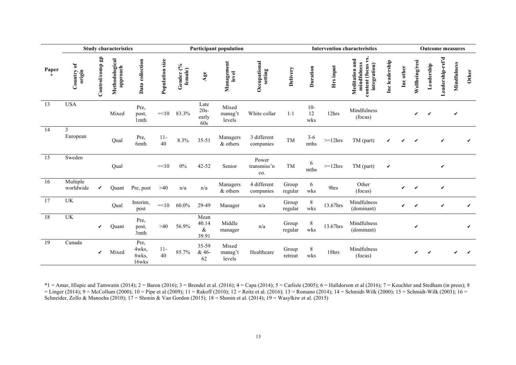|       |                            |                                     | <b>Study characteristics</b> |                                 |                 |                                 |                                 | <b>Participant population</b> |                             |                  |                           | <b>Intervention characteristics</b> |                                                                     | <b>Outcome measures</b> |              |                |            |                  |             |              |
|-------|----------------------------|-------------------------------------|------------------------------|---------------------------------|-----------------|---------------------------------|---------------------------------|-------------------------------|-----------------------------|------------------|---------------------------|-------------------------------------|---------------------------------------------------------------------|-------------------------|--------------|----------------|------------|------------------|-------------|--------------|
| Paper | ð<br>Country<br>origin     | Control/comp gp                     | Methodological<br>approach   | Data collection                 | Population size | Gender <sup>(%</sup><br>female) | $\mathbf{Age}$                  | Management<br>level           | Occupational<br>setting     | Delivery         | Duration                  | Hrs input                           | content (focus vs.<br>Meditation and<br>mindfulness<br>integration) | Inc leadership          | Inc other    | Wellbeing/resi | Leadership | Leadership-rel'd | Mindfulness | Other        |
| 13    | <b>USA</b>                 |                                     | Mixed                        | Pre,<br>post,<br>1mth           | $=<10$          | 83.3%                           | Late<br>$20s -$<br>early<br>60s | Mixed<br>manag't<br>levels    | White collar                | 1:1              | $10-$<br>12<br>wks        | 12hrs                               | Mindfulness<br>(focus)                                              |                         |              | ✓              | ✔          |                  | ✓           |              |
| 14    | $\overline{3}$<br>European |                                     | Qual                         | Pre,<br>6mth                    | $11-$<br>40     | 8.3%                            | $35 - 51$                       | Managers<br>& others          | 3 different<br>companies    | <b>TM</b>        | $3-6$<br>mths             | $>=12hrs$                           | TM (part)                                                           | $\checkmark$            | $\checkmark$ | $\checkmark$   |            | ✓                |             | $\checkmark$ |
| 15    | Sweden                     |                                     | Qual                         |                                 | $=<10$          | $0\%$                           | $42 - 52$                       | Senior                        | Power<br>transmiss'n<br>co. | <b>TM</b>        | 6<br>mths                 | $>=12$ hrs                          | TM (part)                                                           | $\checkmark$            |              |                |            | ✔                |             |              |
| 16    | Multiple<br>worldwide      | ✓                                   | Quant                        | Pre, post                       | >40             | n/a                             | n/a                             | Managers<br>& others          | 4 different<br>companies    | Group<br>regular | 6<br>wks                  | 9hrs                                | Other<br>(focus)                                                    |                         | ✓            | ✓              |            | ✓                |             |              |
| 17    | UK                         |                                     | Qual                         | Interim,<br>post                | $=<10$          | 60.0%                           | 29-49                           | Manager                       | n/a                         | Group<br>regular | 8<br>$\operatorname{wks}$ | 13.67hrs                            | Mindfulness<br>(dominant)                                           |                         | ✓            | ✓              |            | ✓                |             | $\checkmark$ |
| 18    | UK                         | Pre,<br>Quant<br>✔<br>post,<br>3mth |                              |                                 | >40             | 56.9%                           | Mean<br>40.14<br>&<br>39.91     | Middle<br>manager             | n/a                         | Group<br>regular | $\,8\,$<br>wks            | 13.67hrs                            | Mindfulness<br>(dominant)                                           |                         |              | $\checkmark$   |            |                  |             | ✓            |
| 19    | Canada                     | ✓                                   | Mixed                        | Pre,<br>4wks,<br>8wks,<br>16wks | $11-$<br>40     | 85.7%                           | 35-59<br>& 46-<br>62            | Mixed<br>manag't<br>levels    | Healthcare                  | Group<br>retreat | 8<br>wks                  | 18hrs                               | Mindfulness<br>(focus)                                              |                         |              | ✓              | ✓          |                  | ✓           | $\checkmark$ |

 $*1 =$  Amar, Hlupic and Tamwatin (2014); 2 = Baron (2016); 3 = Brendel et al. (2016); 4 = Capa (2014); 5 = Carlisle (2005); 6 = Halldorson et al (2016); 7 = Keuchler and Stedham (in press); 8  $=$  Linger (2014);  $9 =$  McCollum (2000); 10  $=$  Pipe et al (2009); 11  $=$  Rakoff (2010); 12  $=$  Reitz et al. (2016); 13  $=$  Romano (2014); 14  $=$  Schmidt-Wilk (2000); 15  $=$  Schmidt-Wilk (2003); 16  $=$ Schneider, Zollo & Manocha (2010); 17 = Shonin & Van Gordon (2015); 18 = Shonin et al. (2014); 19 = Wasylkiw et al. (2015)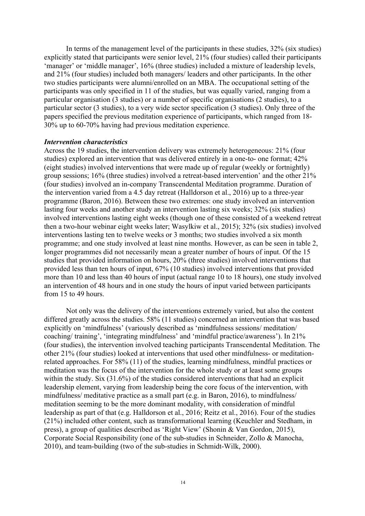In terms of the management level of the participants in these studies, 32% (six studies) explicitly stated that participants were senior level, 21% (four studies) called their participants 'manager' or 'middle manager', 16% (three studies) included a mixture of leadership levels, and 21% (four studies) included both managers/ leaders and other participants. In the other two studies participants were alumni/enrolled on an MBA. The occupational setting of the participants was only specified in 11 of the studies, but was equally varied, ranging from a particular organisation (3 studies) or a number of specific organisations (2 studies), to a particular sector (3 studies), to a very wide sector specification (3 studies). Only three of the papers specified the previous meditation experience of participants, which ranged from 18- 30% up to 60-70% having had previous meditation experience.

### *Intervention characteristics*

Across the 19 studies, the intervention delivery was extremely heterogeneous: 21% (four studies) explored an intervention that was delivered entirely in a one-to- one format; 42% (eight studies) involved interventions that were made up of regular (weekly or fortnightly) group sessions; 16% (three studies) involved a retreat-based intervention' and the other 21% (four studies) involved an in-company Transcendental Meditation programme. Duration of the intervention varied from a 4.5 day retreat (Halldorson et al., 2016) up to a three-year programme (Baron, 2016). Between these two extremes: one study involved an intervention lasting four weeks and another study an intervention lasting six weeks; 32% (six studies) involved interventions lasting eight weeks (though one of these consisted of a weekend retreat then a two-hour webinar eight weeks later; Wasylkiw et al., 2015); 32% (six studies) involved interventions lasting ten to twelve weeks or 3 months; two studies involved a six month programme; and one study involved at least nine months. However, as can be seen in table 2, longer programmes did not necessarily mean a greater number of hours of input. Of the 15 studies that provided information on hours, 20% (three studies) involved interventions that provided less than ten hours of input, 67% (10 studies) involved interventions that provided more than 10 and less than 40 hours of input (actual range 10 to 18 hours), one study involved an intervention of 48 hours and in one study the hours of input varied between participants from 15 to 49 hours.

Not only was the delivery of the interventions extremely varied, but also the content differed greatly across the studies. 58% (11 studies) concerned an intervention that was based explicitly on 'mindfulness' (variously described as 'mindfulness sessions/ meditation/ coaching/ training', 'integrating mindfulness' and 'mindful practice/awareness'). In 21% (four studies), the intervention involved teaching participants Transcendental Meditation. The other 21% (four studies) looked at interventions that used other mindfulness- or meditationrelated approaches. For 58% (11) of the studies, learning mindfulness, mindful practices or meditation was the focus of the intervention for the whole study or at least some groups within the study. Six (31.6%) of the studies considered interventions that had an explicit leadership element, varying from leadership being the core focus of the intervention, with mindfulness/ meditative practice as a small part (e.g. in Baron, 2016), to mindfulness/ meditation seeming to be the more dominant modality, with consideration of mindful leadership as part of that (e.g. Halldorson et al., 2016; Reitz et al., 2016). Four of the studies (21%) included other content, such as transformational learning (Keuchler and Stedham, in press), a group of qualities described as 'Right View' (Shonin & Van Gordon, 2015), Corporate Social Responsibility (one of the sub-studies in Schneider, Zollo & Manocha, 2010), and team-building (two of the sub-studies in Schmidt-Wilk, 2000).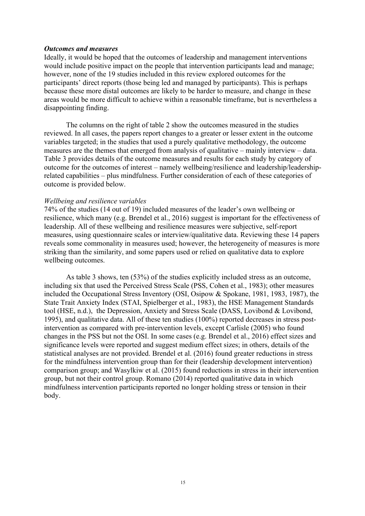### *Outcomes and measures*

Ideally, it would be hoped that the outcomes of leadership and management interventions would include positive impact on the people that intervention participants lead and manage; however, none of the 19 studies included in this review explored outcomes for the participants' direct reports (those being led and managed by participants). This is perhaps because these more distal outcomes are likely to be harder to measure, and change in these areas would be more difficult to achieve within a reasonable timeframe, but is nevertheless a disappointing finding.

The columns on the right of table 2 show the outcomes measured in the studies reviewed. In all cases, the papers report changes to a greater or lesser extent in the outcome variables targeted; in the studies that used a purely qualitative methodology, the outcome measures are the themes that emerged from analysis of qualitative – mainly interview – data. Table 3 provides details of the outcome measures and results for each study by category of outcome for the outcomes of interest – namely wellbeing/resilience and leadership/leadershiprelated capabilities – plus mindfulness. Further consideration of each of these categories of outcome is provided below.

#### *Wellbeing and resilience variables*

74% of the studies (14 out of 19) included measures of the leader's own wellbeing or resilience, which many (e.g. Brendel et al., 2016) suggest is important for the effectiveness of leadership. All of these wellbeing and resilience measures were subjective, self-report measures, using questionnaire scales or interview/qualitative data. Reviewing these 14 papers reveals some commonality in measures used; however, the heterogeneity of measures is more striking than the similarity, and some papers used or relied on qualitative data to explore wellbeing outcomes.

As table 3 shows, ten (53%) of the studies explicitly included stress as an outcome, including six that used the Perceived Stress Scale (PSS, Cohen et al., 1983); other measures included the Occupational Stress Inventory (OSI, Osipow & Spokane, 1981, 1983, 1987), the State Trait Anxiety Index (STAI, Spielberger et al., 1983), the HSE Management Standards tool (HSE, n.d.), the Depression, Anxiety and Stress Scale (DASS, Lovibond & Lovibond, 1995), and qualitative data. All of these ten studies (100%) reported decreases in stress postintervention as compared with pre-intervention levels, except Carlisle (2005) who found changes in the PSS but not the OSI. In some cases (e.g. Brendel et al., 2016) effect sizes and significance levels were reported and suggest medium effect sizes; in others, details of the statistical analyses are not provided. Brendel et al. (2016) found greater reductions in stress for the mindfulness intervention group than for their (leadership development intervention) comparison group; and Wasylkiw et al. (2015) found reductions in stress in their intervention group, but not their control group. Romano (2014) reported qualitative data in which mindfulness intervention participants reported no longer holding stress or tension in their body.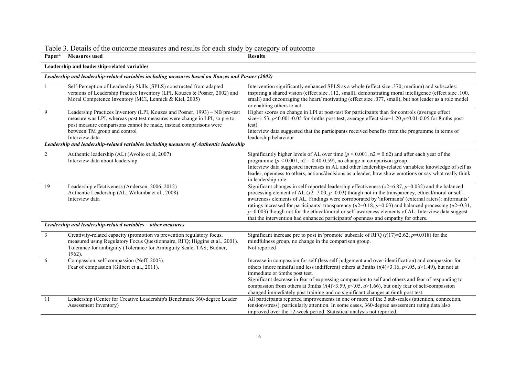| Paper*       | <b>Measures</b> used                                                                                                                                                                                                                                                            | <b>Results</b>                                                                                                                                                                                                                                                                                                                                                                                                                                                                                                                                                                                                                            |
|--------------|---------------------------------------------------------------------------------------------------------------------------------------------------------------------------------------------------------------------------------------------------------------------------------|-------------------------------------------------------------------------------------------------------------------------------------------------------------------------------------------------------------------------------------------------------------------------------------------------------------------------------------------------------------------------------------------------------------------------------------------------------------------------------------------------------------------------------------------------------------------------------------------------------------------------------------------|
|              | Leadership and leadership-related variables                                                                                                                                                                                                                                     |                                                                                                                                                                                                                                                                                                                                                                                                                                                                                                                                                                                                                                           |
|              | Leadership and leadership-related variables including measures based on Kouzes and Posner (2002)                                                                                                                                                                                |                                                                                                                                                                                                                                                                                                                                                                                                                                                                                                                                                                                                                                           |
|              | Self-Perception of Leadership Skills (SPLS) constructed from adapted<br>versions of Leadership Practice Inventory (LPI, Kouzes & Posner, 2002) and<br>Moral Competence Inventory (MCI, Lennick & Kiel, 2005)                                                                    | Intervention significantly enhanced SPLS as a whole (effect size .370, medium) and subscales:<br>inspiring a shared vision (effect size .112, small), demonstrating moral intelligence (effect size .100,<br>small) and encouraging the heart/motivating (effect size .077, small), but not leader as a role model<br>or enabling others to act                                                                                                                                                                                                                                                                                           |
| 9            | Leadership Practices Inventory (LPI, Kouzes and Posner, 1993) - NB pre-test<br>measure was LPI, whereas post test measures were change in LPI, so pre to<br>post measure comparisons cannot be made, instead comparisons were<br>between TM group and control<br>Interview data | Higher scores on change in LPI at post-test for participants than for controls (average effect<br>size=1.53, $p<0.001-0.05$ for 4mths post-test, average effect size=1.20 $p<0.01-0.05$ for 8mths post-<br>test)<br>Interview data suggested that the participants received benefits from the programme in terms of<br>leadership behaviour                                                                                                                                                                                                                                                                                               |
|              | Leadership and leadership-related variables including measures of Authentic leadership                                                                                                                                                                                          |                                                                                                                                                                                                                                                                                                                                                                                                                                                                                                                                                                                                                                           |
| 2            | Authentic leadership (AL) (Avolio et al, 2007)<br>Interview data about leadership                                                                                                                                                                                               | Significantly higher levels of AL over time ( $p < 0.001$ , n2 = 0.62) and after each year of the<br>programme ( $p < 0.001$ , n2 = 0.40-0.59), no change in comparison group.<br>Interview data suggested increases in AL and other leadership-related variables: knowledge of self as<br>leader, openness to others, actions/decisions as a leader, how show emotions or say what really think<br>in leadership role.                                                                                                                                                                                                                   |
| 19           | Leadership effectiveness (Anderson, 2006, 2012)<br>Authentic Leadership (AL, Walumba et al., 2008)<br>Interview data                                                                                                                                                            | Significant changes in self-reported leadership effectiveness ( $x2=6.87$ , $p=0.032$ ) and the balanced<br>processing element of AL $(x2=7.00, p=0.03)$ though not in the transparency, ethical/moral or self-<br>awareness elements of AL. Findings were corroborated by 'informants' (external raters): informants'<br>ratings increased for participants' transparency ( $n/2$ =0.18, $p$ =0.03) and balanced processing ( $n/2$ =0.31,<br>$p=0.003$ ) though not for the ethical/moral or self-awareness elements of AL. Interview data suggest<br>that the intervention had enhanced participants' openness and empathy for others. |
|              | Leadership and leadership-related variables – other measures                                                                                                                                                                                                                    |                                                                                                                                                                                                                                                                                                                                                                                                                                                                                                                                                                                                                                           |
| $\mathbf{3}$ | Creativity-related capacity (promotion vs prevention regulatory focus,<br>measured using Regulatory Focus Questionnaire, RFQ; Higgins et al., 2001).<br>Tolerance for ambiguity (Tolerance for Ambiguity Scale, TAS; Budner,<br>1962).                                          | Significant increase pre to post in 'promote' subscale of RFQ $(t(17)=2.62, p=0.018)$ for the<br>mindfulness group, no change in the comparison group.<br>Not reported                                                                                                                                                                                                                                                                                                                                                                                                                                                                    |
| 6            | Compassion, self-compassion (Neff, 2003).<br>Fear of compassion (Gilbert et al., 2011).                                                                                                                                                                                         | Increase in compassion for self (less self-judgement and over-identification) and compassion for<br>others (more mindful and less indifferent) others at 3mths ( $t(4)$ >3.16, $p$ <.05, $d$ >1.49), but not at<br>immediate or 6mths post test.<br>Significant decrease in fear of expressing compassion to self and others and fear of responding to<br>compassion from others at 3mths ( $t$ (4)>3.59, $p$ <.05, $d$ >1.66), but only fear of self-compassion<br>changed immediately post training and no significant changes at 6mth post test.                                                                                       |
| 11           | Leadership (Center for Creative Leadership's Benchmark 360-degree Leader<br>Assessment Inventory)                                                                                                                                                                               | All participants reported improvements in one or more of the 3 sub-scales (attention, connection,<br>tension/stress), particularly attention. In some cases, 360-degree assessment rating data also<br>improved over the 12-week period. Statistical analysis not reported.                                                                                                                                                                                                                                                                                                                                                               |

# Table 3. Details of the outcome measures and results for each study by category of outcome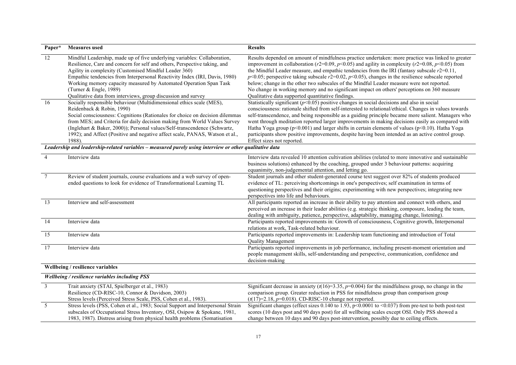| Paper*         | <b>Measures</b> used                                                                                                                                                                                                                                                                                                                                                                                                                                           | <b>Results</b>                                                                                                                                                                                                                                                                                                                                                                                                                                                                                                                                                                                                                                                                       |
|----------------|----------------------------------------------------------------------------------------------------------------------------------------------------------------------------------------------------------------------------------------------------------------------------------------------------------------------------------------------------------------------------------------------------------------------------------------------------------------|--------------------------------------------------------------------------------------------------------------------------------------------------------------------------------------------------------------------------------------------------------------------------------------------------------------------------------------------------------------------------------------------------------------------------------------------------------------------------------------------------------------------------------------------------------------------------------------------------------------------------------------------------------------------------------------|
| 12             | Mindful Leadership, made up of five underlying variables: Collaboration,<br>Resilience, Care and concern for self and others, Perspective taking, and<br>Agility in complexity (Customised Mindful Leader 360)<br>Empathic tendencies from Interpersonal Reactivity Index (IRI, Davis, 1980)<br>Working memory capacity measured by Automated Operation Span Task<br>(Turner $&$ Engle, 1989)<br>Qualitative data from interviews, group discussion and survey | Results depended on amount of mindfulness practice undertaken: more practice was linked to greater<br>improvement in collaboration ( $r2=0.09$ , $p<0.05$ ) and agility in complexity ( $r2=0.08$ , $p<0.05$ ) from<br>the Mindful Leader measure, and empathic tendencies from the IRI (fantasy subscale $r2=0.11$ ,<br>$p<0.05$ ; perspective taking subscale $r2=0.02$ , $p<0.05$ ), changes in the resilience subscale reported<br>below; change in the other two subscales of the Mindful Leader measure were not reported.<br>No change in working memory and no significant impact on others' perceptions on 360 measure<br>Qualitative data supported quantitative findings. |
| -16            | Socially responsible behaviour (Multidimensional ethics scale (MES),<br>Reidenback & Robin, 1990)<br>Social consciousness: Cognitions (Rationales for choice on decision dilemmas<br>from MES; and Criteria for daily decision making from World Values Survey<br>(Inglehart & Baker, 2000)); Personal values/Self-transcendence (Schwartz,<br>1992); and Affect (Positive and negative affect scale, PANAS, Watson et al.,<br>1988).                          | Statistically significant ( $p$ <0.05) positive changes in social decisions and also in social<br>consciousness: rationale shifted from self-interested to relational/ethical. Changes in values towards<br>self-transcendence, and being responsible as a guiding principle became more salient. Managers who<br>went through meditation reported larger improvements in making decisions easily as compared with<br>Hatha Yoga group (p<0.001) and larger shifts in certain elements of values (p<0.10). Hatha Yoga<br>participants show positive improvements, despite having been intended as an active control group.<br>Effect sizes not reported.                             |
|                | Leadership and leadership-related variables - measured purely using interview or other qualitative data                                                                                                                                                                                                                                                                                                                                                        |                                                                                                                                                                                                                                                                                                                                                                                                                                                                                                                                                                                                                                                                                      |
| $\overline{4}$ | Interview data                                                                                                                                                                                                                                                                                                                                                                                                                                                 | Interview data revealed 10 attention cultivation abilities (related to more innovative and sustainable<br>business solutions) enhanced by the coaching, grouped under 3 behaviour patterns: acquiring<br>equanimity, non-judgemental attention, and letting go.                                                                                                                                                                                                                                                                                                                                                                                                                      |
| $\overline{7}$ | Review of student journals, course evaluations and a web survey of open-<br>ended questions to look for evidence of Transformational Learning TL                                                                                                                                                                                                                                                                                                               | Student journals and other student-generated course text suggest over 82% of students produced<br>evidence of TL: perceiving shortcomings in one's perspectives; self examination in terms of<br>questioning perspectives and their origins; experimenting with new perspectives; integrating new<br>perspectives into life and behaviours.                                                                                                                                                                                                                                                                                                                                          |
| 13             | Interview and self-assessment                                                                                                                                                                                                                                                                                                                                                                                                                                  | All participants reported an increase in their ability to pay attention and connect with others, and<br>perceived an increase in their leader abilities (e.g. strategic thinking, composure, leading the team,<br>dealing with ambiguity, patience, perspective, adaptability, managing change, listening).                                                                                                                                                                                                                                                                                                                                                                          |
| 14             | Interview data                                                                                                                                                                                                                                                                                                                                                                                                                                                 | Participants reported improvements in: Growth of consciousness, Cognitive growth, Interpersonal<br>relations at work, Task-related behaviour.                                                                                                                                                                                                                                                                                                                                                                                                                                                                                                                                        |
| 15             | Interview data                                                                                                                                                                                                                                                                                                                                                                                                                                                 | Participants reported improvements in: Leadership team functioning and introduction of Total<br><b>Quality Management</b>                                                                                                                                                                                                                                                                                                                                                                                                                                                                                                                                                            |
| 17             | Interview data                                                                                                                                                                                                                                                                                                                                                                                                                                                 | Participants reported improvements in job performance, including present-moment orientation and<br>people management skills, self-understanding and perspective, communication, confidence and<br>decision-making                                                                                                                                                                                                                                                                                                                                                                                                                                                                    |
|                | Wellbeing / resilience variables                                                                                                                                                                                                                                                                                                                                                                                                                               |                                                                                                                                                                                                                                                                                                                                                                                                                                                                                                                                                                                                                                                                                      |
|                | Wellbeing / resilience variables including PSS                                                                                                                                                                                                                                                                                                                                                                                                                 |                                                                                                                                                                                                                                                                                                                                                                                                                                                                                                                                                                                                                                                                                      |
| $\mathfrak{Z}$ | Trait anxiety (STAI, Spielberger et al., 1983)<br>Resilience (CD-RISC-10, Connor & Davidson, 2003)<br>Stress levels (Perceived Stress Scale, PSS, Cohen et al., 1983).                                                                                                                                                                                                                                                                                         | Significant decrease in anxiety ( $t(16)=3.35$ , $p=0.004$ ) for the mindfulness group, no change in the<br>comparison group. Greater reduction in PSS for mindfulness group than comparison group<br>$(t(17)=2.18, p=0.018)$ . CD-RISC-10 change not reported.                                                                                                                                                                                                                                                                                                                                                                                                                      |
| $\overline{5}$ | Stress levels (PSS, Cohen et al., 1983; Social Support and Interpersonal Strain<br>subscales of Occupational Stress Inventory, OSI, Osipow & Spokane, 1981,<br>1983, 1987). Distress arising from physical health problems (Somatisation                                                                                                                                                                                                                       | Significant changes (effect sizes $0.140$ to $1.93$ , $p<0.0001$ to $<0.037$ ) from pre-test to both post-test<br>scores (10 days post and 90 days post) for all wellbeing scales except OSI. Only PSS showed a<br>change between 10 days and 90 days post-intervention, possibly due to ceiling effects.                                                                                                                                                                                                                                                                                                                                                                            |
|                |                                                                                                                                                                                                                                                                                                                                                                                                                                                                |                                                                                                                                                                                                                                                                                                                                                                                                                                                                                                                                                                                                                                                                                      |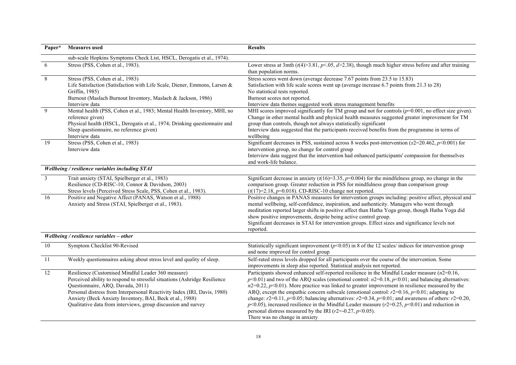| Paper*          | <b>Measures</b> used                                                                                                                                                                                                                                                                                                                                                          | <b>Results</b>                                                                                                                                                                                                                                                                                                                                                                                                                                                                                                                                                                                                                                                                                                                                                      |
|-----------------|-------------------------------------------------------------------------------------------------------------------------------------------------------------------------------------------------------------------------------------------------------------------------------------------------------------------------------------------------------------------------------|---------------------------------------------------------------------------------------------------------------------------------------------------------------------------------------------------------------------------------------------------------------------------------------------------------------------------------------------------------------------------------------------------------------------------------------------------------------------------------------------------------------------------------------------------------------------------------------------------------------------------------------------------------------------------------------------------------------------------------------------------------------------|
|                 | sub-scale Hopkins Symptoms Check List, HSCL, Derogatis et al., 1974).                                                                                                                                                                                                                                                                                                         |                                                                                                                                                                                                                                                                                                                                                                                                                                                                                                                                                                                                                                                                                                                                                                     |
| 6               | Stress (PSS, Cohen et al., 1983).                                                                                                                                                                                                                                                                                                                                             | Lower stress at 3mth $(t/4) > 3.81$ , $p < 0.05$ , $d > 2.38$ ), though much higher stress before and after training<br>than population norms.                                                                                                                                                                                                                                                                                                                                                                                                                                                                                                                                                                                                                      |
| 8               | Stress (PSS, Cohen et al., 1983)<br>Life Satisfaction (Satisfaction with Life Scale, Diener, Emmons, Larsen &<br>Griffin, 1985)<br>Burnout (Maslach Burnout Inventory, Maslach & Jackson, 1986)<br>Interview data                                                                                                                                                             | Stress scores went down (average decrease 7.67 points from 23.5 to 15.83)<br>Satisfaction with life scale scores went up (average increase 6.7 points from 21.3 to 28)<br>No statistical tests reported.<br>Burnout scores not reported.<br>Interview data themes suggested work stress management benefits                                                                                                                                                                                                                                                                                                                                                                                                                                                         |
| $\overline{9}$  | Mental health (PSS, Cohen et al., 1983; Mental Health Inventory, MHI, no<br>reference given)<br>Physical health (HSCL, Derogatis et al., 1974; Drinking questionnaire and<br>Sleep questionnaire, no reference given)<br>Interview data                                                                                                                                       | MHI scores improved significantly for TM group and not for controls $(p=0.001)$ , no effect size given).<br>Change in other mental health and physical health measures suggested greater improvement for TM<br>group than controls, though not always statistically significant<br>Interview data suggested that the participants received benefits from the programme in terms of<br>wellbeing                                                                                                                                                                                                                                                                                                                                                                     |
| 19              | Stress (PSS, Cohen et al., 1983)<br>Interview data                                                                                                                                                                                                                                                                                                                            | Significant decreases in PSS, sustained across 8 weeks post-intervention $(x2=20.462, p<0.001)$ for<br>intervention group, no change for control group<br>Interview data suggest that the intervention had enhanced participants' compassion for themselves<br>and work-life balance.                                                                                                                                                                                                                                                                                                                                                                                                                                                                               |
|                 | Wellbeing / resilience variables including STAI                                                                                                                                                                                                                                                                                                                               |                                                                                                                                                                                                                                                                                                                                                                                                                                                                                                                                                                                                                                                                                                                                                                     |
| $\overline{3}$  | Trait anxiety (STAI, Spielberger et al., 1983)<br>Resilience (CD-RISC-10, Connor & Davidson, 2003)<br>Stress levels (Perceived Stress Scale, PSS, Cohen et al., 1983).                                                                                                                                                                                                        | Significant decrease in anxiety ( $t(16)=3.35$ , $p=0.004$ ) for the mindfulness group, no change in the<br>comparison group. Greater reduction in PSS for mindfulness group than comparison group<br>$(t(17)=2.18, p=0.018)$ . CD-RISC-10 change not reported.                                                                                                                                                                                                                                                                                                                                                                                                                                                                                                     |
| 16              | Positive and Negative Affect (PANAS, Watson et al., 1988)<br>Anxiety and Stress (STAI, Spielberger et al., 1983).                                                                                                                                                                                                                                                             | Positive changes in PANAS measures for intervention groups including: positive affect, physical and<br>mental wellbeing, self-confidence, inspiration, and authenticity. Managers who went through<br>meditation reported larger shifts in positive affect than Hatha Yoga group, though Hatha Yoga did<br>show positive improvements, despite being active control group.<br>Significant decreases in STAI for intervention groups. Effect sizes and significance levels not<br>reported.                                                                                                                                                                                                                                                                          |
|                 | Wellbeing / resilience variables $-$ other                                                                                                                                                                                                                                                                                                                                    |                                                                                                                                                                                                                                                                                                                                                                                                                                                                                                                                                                                                                                                                                                                                                                     |
| 10              | Symptom Checklist 90-Revised                                                                                                                                                                                                                                                                                                                                                  | Statistically significant improvement ( $p<0.05$ ) in 8 of the 12 scales/ indices for intervention group<br>and none improved for control group                                                                                                                                                                                                                                                                                                                                                                                                                                                                                                                                                                                                                     |
| 11              | Weekly questionnaires asking about stress level and quality of sleep.                                                                                                                                                                                                                                                                                                         | Self-rated stress levels dropped for all participants over the course of the intervention. Some<br>improvements in sleep also reported. Statistical analysis not reported.                                                                                                                                                                                                                                                                                                                                                                                                                                                                                                                                                                                          |
| $\overline{12}$ | Resilience (Customised Mindful Leader 360 measure)<br>Perceived ability to respond to stressful situations (Ashridge Resilience<br>Questionnaire, ARQ, Davada, 2011)<br>Personal distress from Interpersonal Reactivity Index (IRI, Davis, 1980)<br>Anxiety (Beck Anxiety Inventory, BAI, Beck et al., 1988)<br>Qualitative data from interviews, group discussion and survey | Participants showed enhanced self-reported resilience in the Mindful Leader measure $(n2=0.16,$<br>$p<0.01$ ) and two of the ARQ scales (emotional control: $n2=0.18$ , $p<0.01$ ; and balancing alternatives:<br>$n2=0.22$ , $p<0.01$ ). More practice was linked to greater improvement in resilience measured by the<br>ARQ, except the empathic concern subscale (emotional control: $r2=0.16$ , $p<0.01$ ; adapting to<br>change: $r2=0.11$ , $p<0.05$ ; balancing alternatives: $r2=0.34$ , $p<0.01$ ; and awareness of others: $r2=0.20$ ,<br>$p<0.05$ ), increased resilience in the Mindful Leader measure ( $r2=0.25$ , $p<0.01$ ) and reduction in<br>personal distress measured by the IRI ( $r2=-0.27$ , $p<0.05$ ).<br>There was no change in anxiety |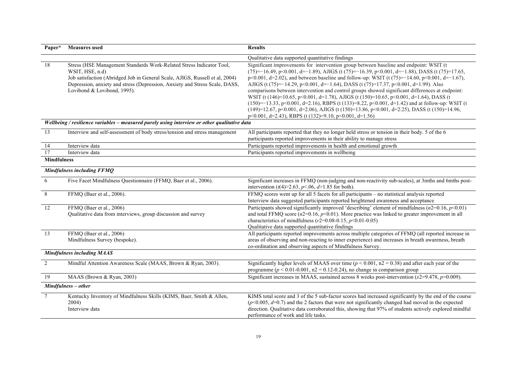| Paper*             | <b>Measures</b> used                                                                                                                                                                                                                                                                  | <b>Results</b>                                                                                                                                                                                                                                                                                                                                                                                                                                                                                                                                                                                                                                                                                                                                                                                                                                                                             |
|--------------------|---------------------------------------------------------------------------------------------------------------------------------------------------------------------------------------------------------------------------------------------------------------------------------------|--------------------------------------------------------------------------------------------------------------------------------------------------------------------------------------------------------------------------------------------------------------------------------------------------------------------------------------------------------------------------------------------------------------------------------------------------------------------------------------------------------------------------------------------------------------------------------------------------------------------------------------------------------------------------------------------------------------------------------------------------------------------------------------------------------------------------------------------------------------------------------------------|
|                    |                                                                                                                                                                                                                                                                                       | Qualitative data supported quantitative findings                                                                                                                                                                                                                                                                                                                                                                                                                                                                                                                                                                                                                                                                                                                                                                                                                                           |
| 18                 | Stress (HSE Management Standards Work-Related Stress Indicator Tool,<br>WSIT, HSE, n.d)<br>Job satisfaction (Abridged Job in General Scale, AJIGS, Russell et al, 2004)<br>Depression, anxiety and stress (Depression, Anxiety and Stress Scale, DASS,<br>Lovibond & Lovibond, 1995). | Significant improvements for intervention group between baseline and endpoint: WSIT (t<br>$(75) = -16.49$ , p<0.001, d=-1.89), AJIGS (t $(75) = -16.39$ , p<0.001, d=-1.88), DASS (t $(75) = 17.65$ ,<br>$p<0.001$ , $d=2.02$ ), and between baseline and follow-up: WSIT (t (75)=-14.60, p<0.001, d=-1.67),<br>AJIGS (t (75)=-14.29, p<0.001, d=-1.64), DASS (t (75)=17.37, p<0.001, d=1.99). Also<br>comparisons between intervention and control groups showed significant differences at endpoint:<br>WSIT (t (146)=10.65, p<0.001, d=1.78), AJIGS (t (150)=10.65, p<0.001, d=1.64), DASS (t<br>$(150) = -13.33$ , p<0.001, d=2.16), RBPS (t $(133) = 8.22$ , p<0.001, d=1.42) and at follow-up: WSIT (t<br>$(149)=12.67$ , $p<0.001$ , $d=2.06$ ), AJIGS (t (150)=13.86, $p<0.001$ , $d=2.25$ ), DASS (t (150)=14.96,<br>$p<0.001$ , d=2.43), RBPS (t (132)=9.10, $p<0.001$ , d=1.56) |
|                    | Wellbeing / resilience variables – measured purely using interview or other qualitative data                                                                                                                                                                                          |                                                                                                                                                                                                                                                                                                                                                                                                                                                                                                                                                                                                                                                                                                                                                                                                                                                                                            |
| 13                 | Interview and self-assessment of body stress/tension and stress management                                                                                                                                                                                                            | All participants reported that they no longer held stress or tension in their body. 5 of the 6<br>participants reported improvements in their ability to manage stress                                                                                                                                                                                                                                                                                                                                                                                                                                                                                                                                                                                                                                                                                                                     |
| 14                 | Interview data                                                                                                                                                                                                                                                                        | Participants reported improvements in health and emotional growth                                                                                                                                                                                                                                                                                                                                                                                                                                                                                                                                                                                                                                                                                                                                                                                                                          |
| 17                 | Interview data                                                                                                                                                                                                                                                                        | Participants reported improvements in wellbeing                                                                                                                                                                                                                                                                                                                                                                                                                                                                                                                                                                                                                                                                                                                                                                                                                                            |
| <b>Mindfulness</b> |                                                                                                                                                                                                                                                                                       |                                                                                                                                                                                                                                                                                                                                                                                                                                                                                                                                                                                                                                                                                                                                                                                                                                                                                            |
|                    | <b>Mindfulness including FFMQ</b>                                                                                                                                                                                                                                                     |                                                                                                                                                                                                                                                                                                                                                                                                                                                                                                                                                                                                                                                                                                                                                                                                                                                                                            |
| 6                  | Five Facet Mindfulness Questionnaire (FFMQ, Baer et al., 2006).                                                                                                                                                                                                                       | Significant increases in FFMQ (non-judging and non-reactivity sub-scales), at 3mths and 6mths post-<br>intervention (t(4)>2.63, p < 0.06, d > 1.85 for both).                                                                                                                                                                                                                                                                                                                                                                                                                                                                                                                                                                                                                                                                                                                              |
| 8                  | FFMQ (Baer et al., 2006).                                                                                                                                                                                                                                                             | FFMQ scores went up for all 5 facets for all participants - no statistical analysis reported<br>Interview data suggested participants reported heightened awareness and acceptance                                                                                                                                                                                                                                                                                                                                                                                                                                                                                                                                                                                                                                                                                                         |
| 12                 | FFMQ (Baer et al., 2006)<br>Qualitative data from interviews, group discussion and survey                                                                                                                                                                                             | Participants showed significantly improved 'describing' element of mindfulness ( $n2=0.16$ , $p<0.01$ )<br>and total FFMQ score ( $n/2=0.16$ , $p<0.01$ ). More practice was linked to greater improvement in all<br>characteristics of mindfulness ( $r2=0.08-0.15$ , $p<0.01-0.05$ )<br>Qualitative data supported quantitative findings                                                                                                                                                                                                                                                                                                                                                                                                                                                                                                                                                 |
| 13                 | FFMQ (Baer et al., 2006)<br>Mindfulness Survey (bespoke).                                                                                                                                                                                                                             | All participants reported improvements across multiple categories of FFMQ (all reported increase in<br>areas of observing and non-reacting to inner experience) and increases in breath awareness, breath<br>co-ordination and observing aspects of Mindfulness Survey.                                                                                                                                                                                                                                                                                                                                                                                                                                                                                                                                                                                                                    |
|                    | <b>Mindfulness including MAAS</b>                                                                                                                                                                                                                                                     |                                                                                                                                                                                                                                                                                                                                                                                                                                                                                                                                                                                                                                                                                                                                                                                                                                                                                            |
| 2                  | Mindful Attention Awareness Scale (MAAS, Brown & Ryan, 2003).                                                                                                                                                                                                                         | Significantly higher levels of MAAS over time ( $p < 0.001$ , n2 = 0.38) and after each year of the<br>programme ( $p < 0.01$ -0.001, n2 = 0.12-0.24), no change in comparison group                                                                                                                                                                                                                                                                                                                                                                                                                                                                                                                                                                                                                                                                                                       |
| 19                 | MAAS (Brown & Ryan, 2003)                                                                                                                                                                                                                                                             | Significant increases in MAAS, sustained across 8 weeks post-intervention $(x2=9.478, p=0.009)$ .                                                                                                                                                                                                                                                                                                                                                                                                                                                                                                                                                                                                                                                                                                                                                                                          |
|                    | Mindfulness - other                                                                                                                                                                                                                                                                   |                                                                                                                                                                                                                                                                                                                                                                                                                                                                                                                                                                                                                                                                                                                                                                                                                                                                                            |
| $\overline{7}$     | Kentucky Inventory of Mindfulness Skills (KIMS, Baer, Smith & Allen,<br>2004)<br>Interview data                                                                                                                                                                                       | KIMS total score and 3 of the 5 sub-factor scores had increased significantly by the end of the course<br>$(p<0.005, d=0.7)$ and the 2 factors that were not significantly changed had moved in the expected<br>direction. Qualitative data corroborated this, showing that 97% of students actively explored mindful<br>performance of work and life tasks.                                                                                                                                                                                                                                                                                                                                                                                                                                                                                                                               |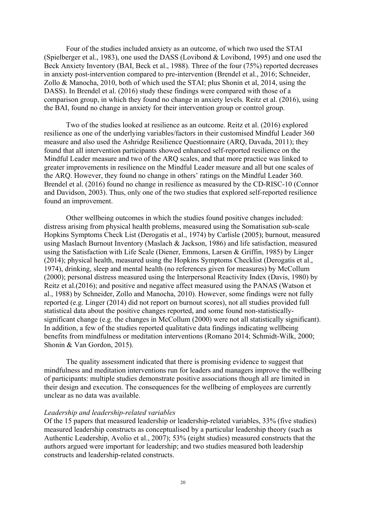Four of the studies included anxiety as an outcome, of which two used the STAI (Spielberger et al., 1983), one used the DASS (Lovibond & Lovibond, 1995) and one used the Beck Anxiety Inventory (BAI, Beck et al., 1988). Three of the four (75%) reported decreases in anxiety post-intervention compared to pre-intervention (Brendel et al., 2016; Schneider, Zollo & Manocha, 2010, both of which used the STAI; plus Shonin et al, 2014, using the DASS). In Brendel et al. (2016) study these findings were compared with those of a comparison group, in which they found no change in anxiety levels. Reitz et al. (2016), using the BAI, found no change in anxiety for their intervention group or control group.

Two of the studies looked at resilience as an outcome. Reitz et al. (2016) explored resilience as one of the underlying variables/factors in their customised Mindful Leader 360 measure and also used the Ashridge Resilience Questionnaire (ARQ, Davada, 2011); they found that all intervention participants showed enhanced self-reported resilience on the Mindful Leader measure and two of the ARQ scales, and that more practice was linked to greater improvements in resilience on the Mindful Leader measure and all but one scales of the ARQ. However, they found no change in others' ratings on the Mindful Leader 360. Brendel et al. (2016) found no change in resilience as measured by the CD-RISC-10 (Connor and Davidson, 2003). Thus, only one of the two studies that explored self-reported resilience found an improvement.

Other wellbeing outcomes in which the studies found positive changes included: distress arising from physical health problems, measured using the Somatisation sub-scale Hopkins Symptoms Check List (Derogatis et al., 1974) by Carlisle (2005); burnout, measured using Maslach Burnout Inventory (Maslach & Jackson, 1986) and life satisfaction, measured using the Satisfaction with Life Scale (Diener, Emmons, Larsen & Griffin, 1985) by Linger (2014); physical health, measured using the Hopkins Symptoms Checklist (Derogatis et al., 1974), drinking, sleep and mental health (no references given for measures) by McCollum (2000); personal distress measured using the Interpersonal Reactivity Index (Davis, 1980) by Reitz et al.(2016); and positive and negative affect measured using the PANAS (Watson et al., 1988) by Schneider, Zollo and Manocha, 2010). However, some findings were not fully reported (e.g. Linger (2014) did not report on burnout scores), not all studies provided full statistical data about the positive changes reported, and some found non-statisticallysignificant change (e.g. the changes in McCollum (2000) were not all statistically significant). In addition, a few of the studies reported qualitative data findings indicating wellbeing benefits from mindfulness or meditation interventions (Romano 2014; Schmidt-Wilk, 2000; Shonin & Van Gordon, 2015).

The quality assessment indicated that there is promising evidence to suggest that mindfulness and meditation interventions run for leaders and managers improve the wellbeing of participants: multiple studies demonstrate positive associations though all are limited in their design and execution. The consequences for the wellbeing of employees are currently unclear as no data was available.

## *Leadership and leadership-related variables*

Of the 15 papers that measured leadership or leadership-related variables, 33% (five studies) measured leadership constructs as conceptualised by a particular leadership theory (such as Authentic Leadership, Avolio et al., 2007); 53% (eight studies) measured constructs that the authors argued were important for leadership; and two studies measured both leadership constructs and leadership-related constructs.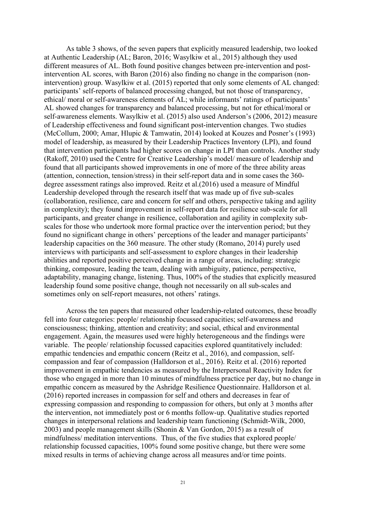As table 3 shows, of the seven papers that explicitly measured leadership, two looked at Authentic Leadership (AL; Baron, 2016; Wasylkiw et al., 2015) although they used different measures of AL. Both found positive changes between pre-intervention and postintervention AL scores, with Baron (2016) also finding no change in the comparison (nonintervention) group. Wasylkiw et al. (2015) reported that only some elements of AL changed: participants' self-reports of balanced processing changed, but not those of transparency, ethical/ moral or self-awareness elements of AL; while informants' ratings of participants' AL showed changes for transparency and balanced processing, but not for ethical/moral or self-awareness elements. Wasylkiw et al. (2015) also used Anderson's (2006, 2012) measure of Leadership effectiveness and found significant post-intervention changes. Two studies (McCollum, 2000; Amar, Hlupic & Tamwatin, 2014) looked at Kouzes and Posner's (1993) model of leadership, as measured by their Leadership Practices Inventory (LPI), and found that intervention participants had higher scores on change in LPI than controls. Another study (Rakoff, 2010) used the Centre for Creative Leadership's model/ measure of leadership and found that all participants showed improvements in one of more of the three ability areas (attention, connection, tension/stress) in their self-report data and in some cases the 360 degree assessment ratings also improved. Reitz et al.(2016) used a measure of Mindful Leadership developed through the research itself that was made up of five sub-scales (collaboration, resilience, care and concern for self and others, perspective taking and agility in complexity); they found improvement in self-report data for resilience sub-scale for all participants, and greater change in resilience, collaboration and agility in complexity subscales for those who undertook more formal practice over the intervention period; but they found no significant change in others' perceptions of the leader and manager participants' leadership capacities on the 360 measure. The other study (Romano, 2014) purely used interviews with participants and self-assessment to explore changes in their leadership abilities and reported positive perceived change in a range of areas, including: strategic thinking, composure, leading the team, dealing with ambiguity, patience, perspective, adaptability, managing change, listening. Thus, 100% of the studies that explicitly measured leadership found some positive change, though not necessarily on all sub-scales and sometimes only on self-report measures, not others' ratings.

Across the ten papers that measured other leadership-related outcomes, these broadly fell into four categories: people/ relationship focussed capacities; self-awareness and consciousness; thinking, attention and creativity; and social, ethical and environmental engagement. Again, the measures used were highly heterogeneous and the findings were variable. The people/ relationship focussed capacities explored quantitatively included: empathic tendencies and empathic concern (Reitz et al., 2016), and compassion, selfcompassion and fear of compassion (Halldorson et al., 2016). Reitz et al. (2016) reported improvement in empathic tendencies as measured by the Interpersonal Reactivity Index for those who engaged in more than 10 minutes of mindfulness practice per day, but no change in empathic concern as measured by the Ashridge Resilience Questionnaire. Halldorson et al. (2016) reported increases in compassion for self and others and decreases in fear of expressing compassion and responding to compassion for others, but only at 3 months after the intervention, not immediately post or 6 months follow-up. Qualitative studies reported changes in interpersonal relations and leadership team functioning (Schmidt-Wilk, 2000, 2003) and people management skills (Shonin & Van Gordon, 2015) as a result of mindfulness/ meditation interventions. Thus, of the five studies that explored people/ relationship focussed capacities, 100% found some positive change, but there were some mixed results in terms of achieving change across all measures and/or time points.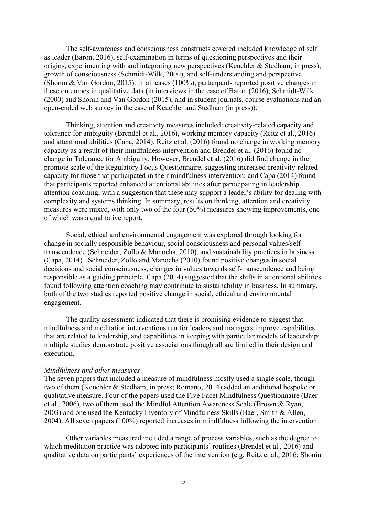The self-awareness and consciousness constructs covered included knowledge of self as leader (Baron, 2016), self-examination in terms of questioning perspectives and their origins, experimenting with and integrating new perspectives (Keuchler & Stedham, in press), growth of consciousness (Schmidt-Wilk, 2000), and self-understanding and perspective (Shonin & Van Gordon, 2015). In all cases (100%), participants reported positive changes in these outcomes in qualitative data (in interviews in the case of Baron (2016), Schmidt-Wilk (2000) and Shonin and Van Gordon (2015), and in student journals, course evaluations and an open-ended web survey in the case of Keuchler and Stedham (in press)).

Thinking, attention and creativity measures included: creativity-related capacity and tolerance for ambiguity (Brendel et al., 2016), working memory capacity (Reitz et al., 2016) and attentional abilities (Capa, 2014). Reitz et al. (2016) found no change in working memory capacity as a result of their mindfulness intervention and Brendel et al. (2016) found no change in Tolerance for Ambiguity. However, Brendel et al. (2016) did find change in the promote scale of the Regulatory Focus Questionnaire, suggesting increased creativity-related capacity for those that participated in their mindfulness intervention; and Capa (2014) found that participants reported enhanced attentional abilities after participating in leadership attention coaching, with a suggestion that these may support a leader's ability for dealing with complexity and systems thinking. In summary, results on thinking, attention and creativity measures were mixed, with only two of the four (50%) measures showing improvements, one of which was a qualitative report.

Social, ethical and environmental engagement was explored through looking for change in socially responsible behaviour, social consciousness and personal values/selftranscendence (Schneider, Zollo & Manocha, 2010), and sustainability practices in business (Capa, 2014). Schneider, Zollo and Manocha (2010) found positive changes in social decisions and social consciousness, changes in values towards self-transcendence and being responsible as a guiding principle. Capa (2014) suggested that the shifts in attentional abilities found following attention coaching may contribute to sustainability in business. In summary, both of the two studies reported positive change in social, ethical and environmental engagement.

The quality assessment indicated that there is promising evidence to suggest that mindfulness and meditation interventions run for leaders and managers improve capabilities that are related to leadership, and capabilities in keeping with particular models of leadership: multiple studies demonstrate positive associations though all are limited in their design and execution.

### *Mindfulness and other measures*

The seven papers that included a measure of mindfulness mostly used a single scale, though two of them (Keuchler & Stedham, in press; Romano, 2014) added an additional bespoke or qualitative measure. Four of the papers used the Five Facet Mindfulness Questionnaire (Baer et al., 2006), two of them used the Mindful Attention Awareness Scale (Brown & Ryan, 2003) and one used the Kentucky Inventory of Mindfulness Skills (Baer, Smith & Allen, 2004). All seven papers (100%) reported increases in mindfulness following the intervention.

Other variables measured included a range of process variables, such as the degree to which meditation practice was adopted into participants' routines (Brendel et al., 2016) and qualitative data on participants' experiences of the intervention (e.g. Reitz et al., 2016; Shonin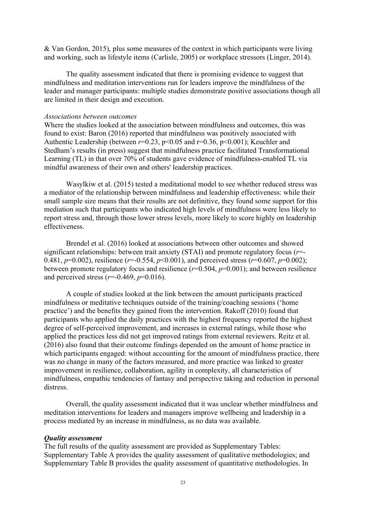& Van Gordon, 2015), plus some measures of the context in which participants were living and working, such as lifestyle items (Carlisle, 2005) or workplace stressors (Linger, 2014).

The quality assessment indicated that there is promising evidence to suggest that mindfulness and meditation interventions run for leaders improve the mindfulness of the leader and manager participants: multiple studies demonstrate positive associations though all are limited in their design and execution.

### *Associations between outcomes*

Where the studies looked at the association between mindfulness and outcomes, this was found to exist: Baron (2016) reported that mindfulness was positively associated with Authentic Leadership (between *r*=0.23, p<0.05 and r=0.36, p<0.001); Keuchler and Stedham's results (in press) suggest that mindfulness practice facilitated Transformational Learning (TL) in that over 70% of students gave evidence of mindfulness-enabled TL via mindful awareness of their own and others' leadership practices.

Wasylkiw et al. (2015) tested a meditational model to see whether reduced stress was a mediator of the relationship between mindfulness and leadership effectiveness: while their small sample size means that their results are not definitive, they found some support for this mediation such that participants who indicated high levels of mindfulness were less likely to report stress and, through those lower stress levels, more likely to score highly on leadership effectiveness.

Brendel et al. (2016) looked at associations between other outcomes and showed significant relationships: between trait anxiety (STAI) and promote regulatory focus (*r*=- 0.481,  $p=0.002$ ), resilience ( $r=-0.554$ ,  $p<0.001$ ), and perceived stress ( $r=0.607$ ,  $p=0.002$ ); between promote regulatory focus and resilience  $(r=0.504, p=0.001)$ ; and between resilience and perceived stress  $(r=0.469, p=0.016)$ .

A couple of studies looked at the link between the amount participants practiced mindfulness or meditative techniques outside of the training/coaching sessions ('home practice') and the benefits they gained from the intervention. Rakoff (2010) found that participants who applied the daily practices with the highest frequency reported the highest degree of self-perceived improvement, and increases in external ratings, while those who applied the practices less did not get improved ratings from external reviewers. Reitz et al. (2016) also found that their outcome findings depended on the amount of home practice in which participants engaged: without accounting for the amount of mindfulness practice, there was no change in many of the factors measured, and more practice was linked to greater improvement in resilience, collaboration, agility in complexity, all characteristics of mindfulness, empathic tendencies of fantasy and perspective taking and reduction in personal distress.

Overall, the quality assessment indicated that it was unclear whether mindfulness and meditation interventions for leaders and managers improve wellbeing and leadership in a process mediated by an increase in mindfulness, as no data was available.

# *Quality assessment*

The full results of the quality assessment are provided as Supplementary Tables: Supplementary Table A provides the quality assessment of qualitative methodologies; and Supplementary Table B provides the quality assessment of quantitative methodologies. In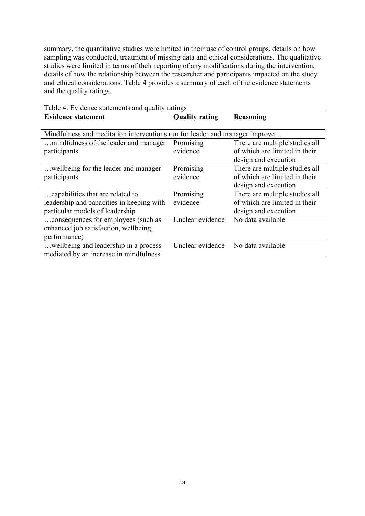summary, the quantitative studies were limited in their use of control groups, details on how sampling was conducted, treatment of missing data and ethical considerations. The qualitative studies were limited in terms of their reporting of any modifications during the intervention, details of how the relationship between the researcher and participants impacted on the study and ethical considerations. Table 4 provides a summary of each of the evidence statements and the quality ratings.

| Table 4. EVIDENCE Statements and quality fattings                           |                       |                                |
|-----------------------------------------------------------------------------|-----------------------|--------------------------------|
| <b>Evidence statement</b>                                                   | <b>Quality rating</b> | <b>Reasoning</b>               |
|                                                                             |                       |                                |
| Mindfulness and meditation interventions run for leader and manager improve |                       |                                |
| mindfulness of the leader and manager                                       | Promising             | There are multiple studies all |
| participants                                                                | evidence              | of which are limited in their  |
|                                                                             |                       | design and execution           |
| wellbeing for the leader and manager                                        | Promising             | There are multiple studies all |
| participants                                                                | evidence              | of which are limited in their  |
|                                                                             |                       | design and execution           |
| capabilities that are related to                                            | Promising             | There are multiple studies all |
| leadership and capacities in keeping with                                   | evidence              | of which are limited in their  |
| particular models of leadership                                             |                       | design and execution           |
| consequences for employees (such as                                         | Unclear evidence      | No data available              |
| enhanced job satisfaction, wellbeing,                                       |                       |                                |
| performance)                                                                |                       |                                |
| wellbeing and leadership in a process                                       | Unclear evidence      | No data available              |
| mediated by an increase in mindfulness                                      |                       |                                |

Table 4. Evidence statements and quality ratings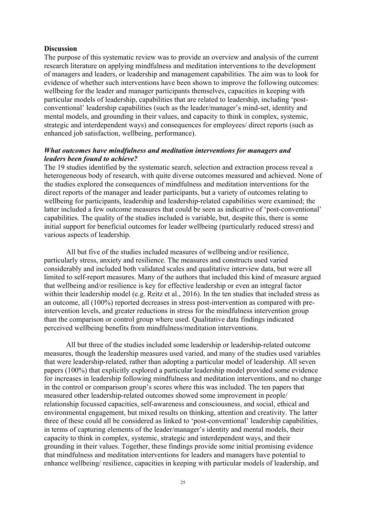## **Discussion**

The purpose of this systematic review was to provide an overview and analysis of the current research literature on applying mindfulness and meditation interventions to the development of managers and leaders, or leadership and management capabilities. The aim was to look for evidence of whether such interventions have been shown to improve the following outcomes: wellbeing for the leader and manager participants themselves, capacities in keeping with particular models of leadership, capabilities that are related to leadership, including 'postconventional' leadership capabilities (such as the leader/manager's mind-set, identity and mental models, and grounding in their values, and capacity to think in complex, systemic, strategic and interdependent ways) and consequences for employees/ direct reports (such as enhanced job satisfaction, wellbeing, performance).

# *What outcomes have mindfulness and meditation interventions for managers and leaders been found to achieve?*

The 19 studies identified by the systematic search, selection and extraction process reveal a heterogeneous body of research, with quite diverse outcomes measured and achieved. None of the studies explored the consequences of mindfulness and meditation interventions for the direct reports of the manager and leader participants, but a variety of outcomes relating to wellbeing for participants, leadership and leadership-related capabilities were examined; the latter included a few outcome measures that could be seen as indicative of 'post-conventional' capabilities. The quality of the studies included is variable, but, despite this, there is some initial support for beneficial outcomes for leader wellbeing (particularly reduced stress) and various aspects of leadership.

All but five of the studies included measures of wellbeing and/or resilience, particularly stress, anxiety and resilience. The measures and constructs used varied considerably and included both validated scales and qualitative interview data, but were all limited to self-report measures. Many of the authors that included this kind of measure argued that wellbeing and/or resilience is key for effective leadership or even an integral factor within their leadership model (e.g. Reitz et al., 2016). In the ten studies that included stress as an outcome, all (100%) reported decreases in stress post-intervention as compared with preintervention levels, and greater reductions in stress for the mindfulness intervention group than the comparison or control group where used. Qualitative data findings indicated perceived wellbeing benefits from mindfulness/meditation interventions.

All but three of the studies included some leadership or leadership-related outcome measures, though the leadership measures used varied, and many of the studies used variables that were leadership-related, rather than adopting a particular model of leadership. All seven papers (100%) that explicitly explored a particular leadership model provided some evidence for increases in leadership following mindfulness and meditation interventions, and no change in the control or comparison group's scores where this was included. The ten papers that measured other leadership-related outcomes showed some improvement in people/ relationship focussed capacities, self-awareness and consciousness, and social, ethical and environmental engagement, but mixed results on thinking, attention and creativity. The latter three of these could all be considered as linked to 'post-conventional' leadership capabilities, in terms of capturing elements of the leader/manager's identity and mental models, their capacity to think in complex, systemic, strategic and interdependent ways, and their grounding in their values. Together, these findings provide some initial promising evidence that mindfulness and meditation interventions for leaders and managers have potential to enhance wellbeing/ resilience, capacities in keeping with particular models of leadership, and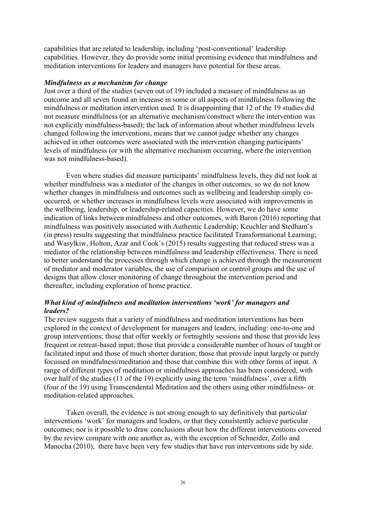capabilities that are related to leadership, including 'post-conventional' leadership capabilities. However, they do provide some initial promising evidence that mindfulness and meditation interventions for leaders and managers have potential for these areas.

## *Mindfulness as a mechanism for change*

Just over a third of the studies (seven out of 19) included a measure of mindfulness as an outcome and all seven found an increase in some or all aspects of mindfulness following the mindfulness or meditation intervention used. It is disappointing that 12 of the 19 studies did not measure mindfulness (or an alternative mechanism/construct where the intervention was not explicitly mindfulness-based); the lack of information about whether mindfulness levels changed following the interventions, means that we cannot judge whether any changes achieved in other outcomes were associated with the intervention changing participants' levels of mindfulness (or with the alternative mechanism occurring, where the intervention was not mindfulness-based).

Even where studies did measure participants' mindfulness levels, they did not look at whether mindfulness was a mediator of the changes in other outcomes, so we do not know whether changes in mindfulness and outcomes such as wellbeing and leadership simply cooccurred, or whether increases in mindfulness levels were associated with improvements in the wellbeing, leadership, or leadership-related capacities. However, we do have some indication of links between mindfulness and other outcomes, with Baron (2016) reporting that mindfulness was positively associated with Authentic Leadership; Keuchler and Stedham's (in press) results suggesting that mindfulness practice facilitated Transformational Learning; and Wasylkiw, Holton, Azar and Cook's (2015) results suggesting that reduced stress was a mediator of the relationship between mindfulness and leadership effectiveness. There is need to better understand the processes through which change is achieved through the measurement of mediator and moderator variables, the use of comparison or control groups and the use of designs that allow closer monitoring of change throughout the intervention period and thereafter, including exploration of home practice.

# *What kind of mindfulness and meditation interventions 'work' for managers and leaders?*

The review suggests that a variety of mindfulness and meditation interventions has been explored in the context of development for managers and leaders, including: one-to-one and group interventions; those that offer weekly or fortnightly sessions and those that provide less frequent or retreat-based input; those that provide a considerable number of hours of taught or facilitated input and those of much shorter duration; those that provide input largely or purely focussed on mindfulness/meditation and those that combine this with other forms of input. A range of different types of meditation or mindfulness approaches has been considered, with over half of the studies (11 of the 19) explicitly using the term 'mindfulness', over a fifth (four of the 19) using Transcendental Meditation and the others using other mindfulness- or meditation-related approaches.

Taken overall, the evidence is not strong enough to say definitively that particular interventions 'work' for managers and leaders, or that they consistently achieve particular outcomes; nor is it possible to draw conclusions about how the different interventions covered by the review compare with one another as, with the exception of Schneider, Zollo and Manocha (2010), there have been very few studies that have run interventions side by side.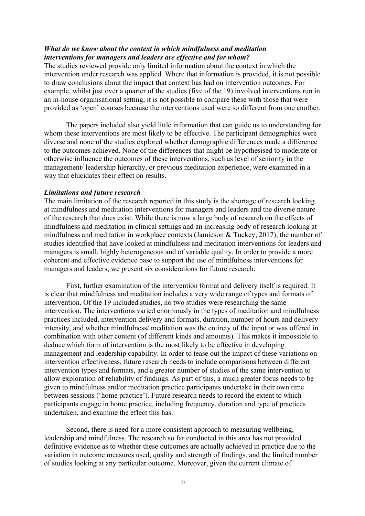# *What do we know about the context in which mindfulness and meditation interventions for managers and leaders are effective and for whom?*

The studies reviewed provide only limited information about the context in which the intervention under research was applied. Where that information is provided, it is not possible to draw conclusions about the impact that context has had on intervention outcomes. For example, whilst just over a quarter of the studies (five of the 19) involved interventions run in an in-house organisational setting, it is not possible to compare these with those that were provided as 'open' courses because the interventions used were so different from one another.

The papers included also yield little information that can guide us to understanding for whom these interventions are most likely to be effective. The participant demographics were diverse and none of the studies explored whether demographic differences made a difference to the outcomes achieved. None of the differences that might be hypothesised to moderate or otherwise influence the outcomes of these interventions, such as level of seniority in the management/ leadership hierarchy, or previous meditation experience, were examined in a way that elucidates their effect on results.

# *Limitations and future research*

The main limitation of the research reported in this study is the shortage of research looking at mindfulness and meditation interventions for managers and leaders and the diverse nature of the research that does exist. While there is now a large body of research on the effects of mindfulness and meditation in clinical settings and an increasing body of research looking at mindfulness and meditation in workplace contexts (Jamieson & Tuckey, 2017), the number of studies identified that have looked at mindfulness and meditation interventions for leaders and managers is small, highly heterogeneous and of variable quality. In order to provide a more coherent and effective evidence base to support the use of mindfulness interventions for managers and leaders, we present six considerations for future research:

First, further examination of the intervention format and delivery itself is required. It is clear that mindfulness and meditation includes a very wide range of types and formats of intervention. Of the 19 included studies, no two studies were researching the same intervention. The interventions varied enormously in the types of meditation and mindfulness practices included, intervention delivery and formats, duration, number of hours and delivery intensity, and whether mindfulness/ meditation was the entirety of the input or was offered in combination with other content (of different kinds and amounts). This makes it impossible to deduce which form of intervention is the most likely to be effective in developing management and leadership capability. In order to tease out the impact of these variations on intervention effectiveness, future research needs to include comparisons between different intervention types and formats, and a greater number of studies of the same intervention to allow exploration of reliability of findings. As part of this, a much greater focus needs to be given to mindfulness and/or meditation practice participants undertake in their own time between sessions ('home practice'). Future research needs to record the extent to which participants engage in home practice, including frequency, duration and type of practices undertaken, and examine the effect this has.

Second, there is need for a more consistent approach to measuring wellbeing, leadership and mindfulness. The research so far conducted in this area has not provided definitive evidence as to whether these outcomes are actually achieved in practice due to the variation in outcome measures used, quality and strength of findings, and the limited number of studies looking at any particular outcome. Moreover, given the current climate of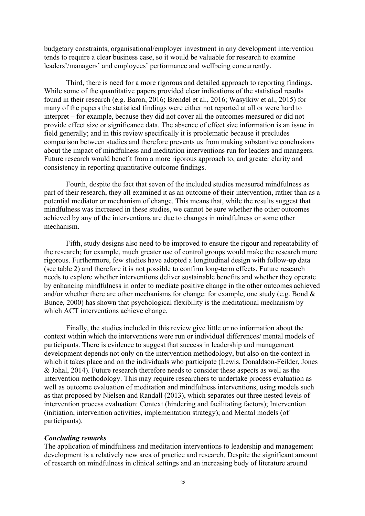budgetary constraints, organisational/employer investment in any development intervention tends to require a clear business case, so it would be valuable for research to examine leaders'/managers' and employees' performance and wellbeing concurrently.

Third, there is need for a more rigorous and detailed approach to reporting findings. While some of the quantitative papers provided clear indications of the statistical results found in their research (e.g. Baron, 2016; Brendel et al., 2016; Wasylkiw et al., 2015) for many of the papers the statistical findings were either not reported at all or were hard to interpret – for example, because they did not cover all the outcomes measured or did not provide effect size or significance data. The absence of effect size information is an issue in field generally; and in this review specifically it is problematic because it precludes comparison between studies and therefore prevents us from making substantive conclusions about the impact of mindfulness and meditation interventions run for leaders and managers. Future research would benefit from a more rigorous approach to, and greater clarity and consistency in reporting quantitative outcome findings.

Fourth, despite the fact that seven of the included studies measured mindfulness as part of their research, they all examined it as an outcome of their intervention, rather than as a potential mediator or mechanism of change. This means that, while the results suggest that mindfulness was increased in these studies, we cannot be sure whether the other outcomes achieved by any of the interventions are due to changes in mindfulness or some other mechanism.

Fifth, study designs also need to be improved to ensure the rigour and repeatability of the research; for example, much greater use of control groups would make the research more rigorous. Furthermore, few studies have adopted a longitudinal design with follow-up data (see table 2) and therefore it is not possible to confirm long-term effects. Future research needs to explore whether interventions deliver sustainable benefits and whether they operate by enhancing mindfulness in order to mediate positive change in the other outcomes achieved and/or whether there are other mechanisms for change: for example, one study (e.g. Bond & Bunce, 2000) has shown that psychological flexibility is the meditational mechanism by which ACT interventions achieve change.

Finally, the studies included in this review give little or no information about the context within which the interventions were run or individual differences/ mental models of participants. There is evidence to suggest that success in leadership and management development depends not only on the intervention methodology, but also on the context in which it takes place and on the individuals who participate (Lewis, Donaldson-Feilder, Jones & Johal, 2014). Future research therefore needs to consider these aspects as well as the intervention methodology. This may require researchers to undertake process evaluation as well as outcome evaluation of meditation and mindfulness interventions, using models such as that proposed by Nielsen and Randall (2013), which separates out three nested levels of intervention process evaluation: Context (hindering and facilitating factors); Intervention (initiation, intervention activities, implementation strategy); and Mental models (of participants).

## *Concluding remarks*

The application of mindfulness and meditation interventions to leadership and management development is a relatively new area of practice and research. Despite the significant amount of research on mindfulness in clinical settings and an increasing body of literature around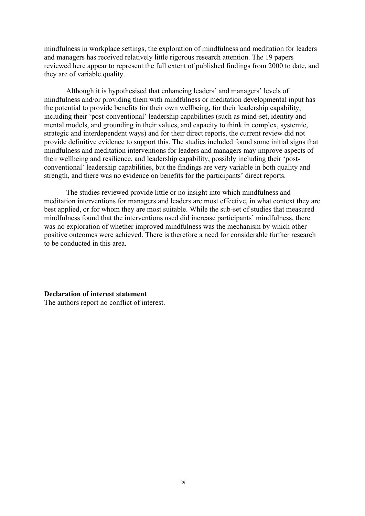mindfulness in workplace settings, the exploration of mindfulness and meditation for leaders and managers has received relatively little rigorous research attention. The 19 papers reviewed here appear to represent the full extent of published findings from 2000 to date, and they are of variable quality.

Although it is hypothesised that enhancing leaders' and managers' levels of mindfulness and/or providing them with mindfulness or meditation developmental input has the potential to provide benefits for their own wellbeing, for their leadership capability, including their 'post-conventional' leadership capabilities (such as mind-set, identity and mental models, and grounding in their values, and capacity to think in complex, systemic, strategic and interdependent ways) and for their direct reports, the current review did not provide definitive evidence to support this. The studies included found some initial signs that mindfulness and meditation interventions for leaders and managers may improve aspects of their wellbeing and resilience, and leadership capability, possibly including their 'postconventional' leadership capabilities, but the findings are very variable in both quality and strength, and there was no evidence on benefits for the participants' direct reports.

The studies reviewed provide little or no insight into which mindfulness and meditation interventions for managers and leaders are most effective, in what context they are best applied, or for whom they are most suitable. While the sub-set of studies that measured mindfulness found that the interventions used did increase participants' mindfulness, there was no exploration of whether improved mindfulness was the mechanism by which other positive outcomes were achieved. There is therefore a need for considerable further research to be conducted in this area.

### **Declaration of interest statement**

The authors report no conflict of interest.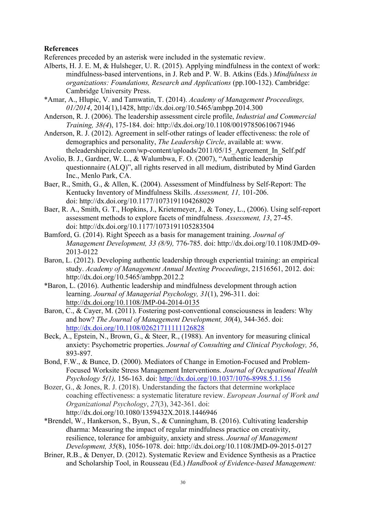# **References**

References preceded by an asterisk were included in the systematic review.

- Alberts, H. J. E. M, & Hulsheger, U. R. (2015). Applying mindfulness in the context of work: mindfulness-based interventions, in J. Reb and P. W. B. Atkins (Eds.) *Mindfulness in organizations: Foundations, Research and Applications* (pp.100-132). Cambridge: Cambridge University Press.
- \*Amar, A., Hlupic, V. and Tamwatin, T. (2014). *Academy of Management Proceedings, 01/2014*, 2014(1),1428, http://dx.doi.org/10.5465/ambpp.2014.300
- Anderson, R. J. (2006). The leadership assessment circle profile, *Industrial and Commercial Training, 38(4*), 175-184. doi: http://dx.doi.org/10.1108/00197850610671946
- Anderson, R. J. (2012). Agreement in self-other ratings of leader effectiveness: the role of demographics and personality, *The Leadership Circle*, available at: www. theleadershipcircle.com/wp-content/uploads/2011/05/15 Agreement In Self.pdf
- Avolio, B. J., Gardner, W. L., & Walumbwa, F. O. (2007), "Authentic leadership questionnaire (ALQ)", all rights reserved in all medium, distributed by Mind Garden Inc., Menlo Park, CA.
- Baer, R., Smith, G., & Allen, K. (2004). Assessment of Mindfulness by Self-Report: The Kentucky Inventory of Mindfulness Skills. *Assessment, 11,* 101-206. doi: http://dx.doi.org/10.1177/1073191104268029
- Baer, R. A., Smith, G. T., Hopkins, J., Krietemeyer, J., & Toney, L., (2006). Using self-report assessment methods to explore facets of mindfulness. *Assessment, 13*, 27-45. doi: http://dx.doi.org/10.1177/1073191105283504
- Bamford, G. (2014). Right Speech as a basis for management training. *Journal of Management Development, 33 (8/9),* 776-785. doi: http://dx.doi.org/10.1108/JMD-09- 2013-0122
- Baron, L. (2012). Developing authentic leadership through experiential training: an empirical study. *Academy of Management Annual Meeting Proceedings*, 21516561, 2012. doi: http://dx.doi.org/10.5465/ambpp.2012.2
- \*Baron, L. (2016). Authentic leadership and mindfulness development through action learning. *Journal of Managerial Psychology, 31*(1), 296-311. doi: http://dx.doi.org/10.1108/JMP-04-2014-0135
- Baron, C., & Cayer, M. (2011). Fostering post-conventional consciousness in leaders: Why and how? *The Journal of Management Development, 30*(4), 344-365. doi: http://dx.doi.org/10.1108/02621711111126828
- Beck, A., Epstein, N., Brown, G., & Steer, R., (1988). An inventory for measuring clinical anxiety: Psychometric properties. *Journal of Consulting and Clinical Psychology, 56*, 893-897.
- Bond, F.W., & Bunce, D. (2000). Mediators of Change in Emotion-Focused and Problem-Focused Worksite Stress Management Interventions. *Journal of Occupational Health Psychology 5(1),* 156-163. doi: http://dx.doi.org/10.1037/1076-8998.5.1.156
- Bozer, G., & Jones, R. J. (2018). Understanding the factors that determine workplace coaching effectiveness: a systematic literature review. *European Journal of Work and Organizational Psychology*, *27*(3), 342-361. doi: http://dx.doi.org/10.1080/1359432X.2018.1446946
- \*Brendel, W., Hankerson, S., Byun, S., & Cunningham, B. (2016). Cultivating leadership dharma: Measuring the impact of regular mindfulness practice on creativity, resilience, tolerance for ambiguity, anxiety and stress. *Journal of Management Development, 35*(8), 1056-1078. doi: http://dx.doi.org/10.1108/JMD-09-2015-0127
- Briner, R.B., & Denyer, D. (2012). Systematic Review and Evidence Synthesis as a Practice and Scholarship Tool, in Rousseau (Ed.) *Handbook of Evidence-based Management:*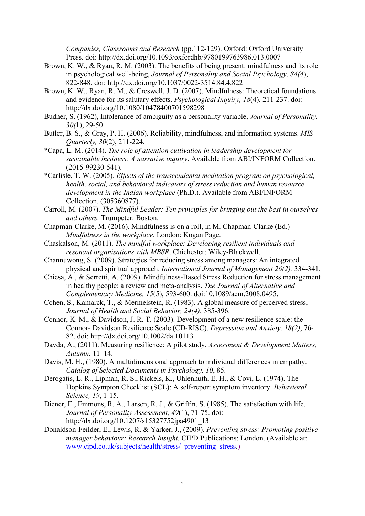*Companies, Classrooms and Research* (pp.112-129). Oxford: Oxford University Press. doi: http://dx.doi.org/10.1093/oxfordhb/9780199763986.013.0007

- Brown, K. W., & Ryan, R. M. (2003). The benefits of being present: mindfulness and its role in psychological well-being, *Journal of Personality and Social Psychology, 84(4*), 822-848. doi: http://dx.doi.org/10.1037/0022-3514.84.4.822
- Brown, K. W., Ryan, R. M., & Creswell, J. D. (2007). Mindfulness: Theoretical foundations and evidence for its salutary effects. *Psychological Inquiry, 18*(4), 211-237. doi: http://dx.doi.org/10.1080/10478400701598298
- Budner, S. (1962), Intolerance of ambiguity as a personality variable, *Journal of Personality, 30(*1), 29-50.
- Butler, B. S., & Gray, P. H. (2006). Reliability, mindfulness, and information systems. *MIS Quarterly, 30*(2), 211-224.
- \*Capa, L. M. (2014). *The role of attention cultivation in leadership development for sustainable business: A narrative inquiry*. Available from ABI/INFORM Collection. (2015-99230-541).
- \*Carlisle, T. W. (2005). *Effects of the transcendental meditation program on psychological, health, social, and behavioral indicators of stress reduction and human resource development in the Indian workplace* (Ph.D.). Available from ABI/INFORM Collection. (305360877).
- Carroll, M. (2007). *The Mindful Leader: Ten principles for bringing out the best in ourselves and others.* Trumpeter: Boston.
- Chapman-Clarke, M. (2016). Mindfulness is on a roll, in M. Chapman-Clarke (Ed.) *Mindfulness in the workplace*. London: Kogan Page.
- Chaskalson, M. (2011). *The mindful workplace: Developing resilient individuals and resonant organisations with MBSR*. Chichester: Wiley-Blackwell.
- Channuwong, S. (2009). Strategies for reducing stress among managers: An integrated physical and spiritual approach. *International Journal of Management 26(2),* 334-341.
- Chiesa, A., & Serretti, A. (2009). Mindfulness-Based Stress Reduction for stress management in healthy people: a review and meta-analysis. *The Journal of Alternative and Complementary Medicine, 15*(5), 593-600. doi:10.1089/acm.2008.0495.
- Cohen, S., Kamarck, T., & Mermelstein, R. (1983). A global measure of perceived stress, *Journal of Health and Social Behavior, 24(4)*, 385-396.
- Connor, K. M., & Davidson, J. R. T. (2003). Development of a new resilience scale: the Connor- Davidson Resilience Scale (CD-RISC), *Depression and Anxiety, 18(2)*, 76- 82. doi: http://dx.doi.org/10.1002/da.10113
- Davda, A., (2011). Measuring resilience: A pilot study. *Assessment & Development Matters, Autumn,* 11–14.
- Davis, M. H., (1980). A multidimensional approach to individual differences in empathy. *Catalog of Selected Documents in Psychology, 10*, 85.
- Derogatis, L. R., Lipman, R. S., Rickels, K., Uhlenhuth, E. H., & Covi, L. (1974). The Hopkins Sympton Checklist (SCL): A self-report symptom inventory. *Behavioral Science, 19*, 1-15.
- Diener, E., Emmons, R. A., Larsen, R. J., & Griffin, S. (1985). The satisfaction with life. *Journal of Personality Assessment, 49*(1), 71-75. doi: http://dx.doi.org/10.1207/s15327752jpa4901\_13
- Donaldson-Feilder, E., Lewis, R. & Yarker, J., (2009). *Preventing stress: Promoting positive manager behaviour: Research Insight.* CIPD Publications: London. (Available at: www.cipd.co.uk/subjects/health/stress/\_preventing\_stress.)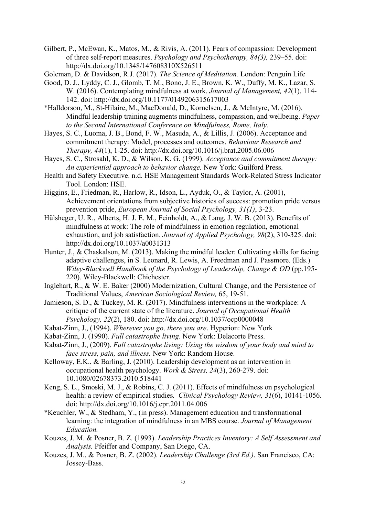Gilbert, P., McEwan, K., Matos, M., & Rivis, A. (2011). Fears of compassion: Development of three self-report measures. *Psychology and Psychotherapy, 84(3),* 239–55. doi: http://dx.doi.org/10.1348/147608310X526511

Goleman, D. & Davidson, R.J. (2017). *The Science of Meditation.* London: Penguin Life

- Good, D. J., Lyddy, C. J., Glomb, T. M., Bono, J. E., Brown, K. W., Duffy, M. K., Lazar, S. W. (2016). Contemplating mindfulness at work. *Journal of Management, 42*(1), 114- 142. doi: http://dx.doi.org/10.1177/0149206315617003
- \*Halldorson, M., St-Hilaire, M., MacDonald, D., Kornelsen, J., & McIntyre, M. (2016). Mindful leadership training augments mindfulness, compassion, and wellbeing. *Paper to the Second International Conference on Mindfulness, Rome, Italy.*
- Hayes, S. C., Luoma, J. B., Bond, F. W., Masuda, A., & Lillis, J. (2006). Acceptance and commitment therapy: Model, processes and outcomes. *Behaviour Research and Therapy, 44*(1), 1-25. doi: http://dx.doi.org/10.1016/j.brat.2005.06.006
- Hayes, S. C., Strosahl, K. D., & Wilson, K. G. (1999). *Acceptance and commitment therapy: An experiential approach to behavior change.* New York: Guilford Press.
- Health and Safety Executive. n.d. HSE Management Standards Work-Related Stress Indicator Tool. London: HSE.
- Higgins, E., Friedman, R., Harlow, R., Idson, L., Ayduk, O., & Taylor, A. (2001), Achievement orientations from subjective histories of success: promotion pride versus prevention pride, *European Journal of Social Psychology, 31(1)*, 3-23.
- Hülsheger, U. R., Alberts, H. J. E. M., Feinholdt, A., & Lang, J. W. B. (2013). Benefits of mindfulness at work: The role of mindfulness in emotion regulation, emotional exhaustion, and job satisfaction. *Journal of Applied Psychology, 98*(2), 310-325. doi: http://dx.doi.org/10.1037/a0031313
- Hunter, J., & Chaskalson, M. (2013). Making the mindful leader: Cultivating skills for facing adaptive challenges, in S. Leonard, R. Lewis, A. Freedman and J. Passmore. (Eds.) *Wiley-Blackwell Handbook of the Psychology of Leadership, Change & OD* (pp.195- 220). Wiley-Blackwell: Chichester.
- Inglehart, R., & W. E. Baker (2000) Modernization, Cultural Change, and the Persistence of Traditional Values, *American Sociological Review,* 65, 19-51.
- Jamieson, S. D., & Tuckey, M. R. (2017). Mindfulness interventions in the workplace: A critique of the current state of the literature. *Journal of Occupational Health Psychology, 22*(2), 180. doi: http://dx.doi.org/10.1037/ocp0000048
- Kabat-Zinn, J., (1994). *Wherever you go, there you are*. Hyperion: New York
- Kabat-Zinn, J. (1990). *Full catastrophe living*. New York: Delacorte Press.
- Kabat-Zinn, J., (2009). *Full catastrophe living: Using the wisdom of your body and mind to face stress, pain, and illness.* New York: Random House.
- Kelloway, E.K., & Barling, J. (2010). Leadership development as an intervention in occupational health psychology. *Work & Stress, 24*(3), 260-279. doi: 10.1080/02678373.2010.518441
- Keng, S. L., Smoski, M. J., & Robins, C. J. (2011). Effects of mindfulness on psychological health: a review of empirical studies*. Clinical Psychology Review, 31*(6), 10141-1056. doi: http://dx.doi.org/10.1016/j.cpr.2011.04.006
- \*Keuchler, W., & Stedham, Y., (in press). Management education and transformational learning: the integration of mindfulness in an MBS course. *Journal of Management Education.*
- Kouzes, J. M. & Posner, B. Z. (1993). *Leadership Practices Inventory: A Self Assessment and Analysis.* Pfeiffer and Company, San Diego, CA.
- Kouzes, J. M., & Posner, B. Z. (2002). *Leadership Challenge (3rd Ed.)*. San Francisco, CA: Jossey-Bass.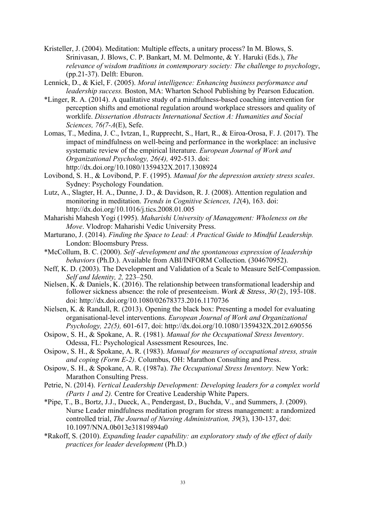- Kristeller, J. (2004). Meditation: Multiple effects, a unitary process? In M. Blows, S. Srinivasan, J. Blows, C. P. Bankart, M. M. Delmonte, & Y. Haruki (Eds.), *The relevance of wisdom traditions in contemporary society: The challenge to psychology*, (pp.21-37). Delft: Eburon.
- Lennick, D., & Kiel, F. (2005). *Moral intelligence: Enhancing business performance and leadership success.* Boston, MA: Wharton School Publishing by Pearson Education.
- \*Linger, R. A. (2014). A qualitative study of a mindfulness-based coaching intervention for perception shifts and emotional regulation around workplace stressors and quality of worklife. *Dissertation Abstracts International Section A: Humanities and Social Sciences, 76(7-A*(E), Sefe.
- Lomas, T., Medina, J. C., Ivtzan, I., Rupprecht, S., Hart, R., & Eiroa-Orosa, F. J. (2017). The impact of mindfulness on well-being and performance in the workplace: an inclusive systematic review of the empirical literature. *European Journal of Work and Organizational Psychology, 26(4),* 492-513. doi: http://dx.doi.org/10.1080/1359432X.2017.1308924
- Lovibond, S. H., & Lovibond, P. F. (1995). *Manual for the depression anxiety stress scales*. Sydney: Psychology Foundation.
- Lutz, A., Slagter, H. A., Dunne, J. D., & Davidson, R. J. (2008). Attention regulation and monitoring in meditation. *Trends in Cognitive Sciences, 12*(4), 163. doi: http://dx.doi.org/10.1016/j.tics.2008.01.005
- Maharishi Mahesh Yogi (1995). *Maharishi University of Management: Wholeness on the Move*. Vlodrop: Maharishi Vedic University Press.
- Marturano, J. (2014). *Finding the Space to Lead: A Practical Guide to Mindful Leadership.*  London: Bloomsbury Press.
- \*McCollum, B. C. (2000). *Self -development and the spontaneous expression of leadership behaviors* (Ph.D.). Available from ABI/INFORM Collection. (304670952).
- Neff, K. D. (2003). The Development and Validation of a Scale to Measure Self-Compassion. *Self and Identity, 2,* 223–250.
- Nielsen, K. & Daniels, K. (2016). The relationship between transformational leadership and follower sickness absence: the role of presenteeism. Work & Stress,  $30(2)$ , 193-108. doi: http://dx.doi.org/10.1080/02678373.2016.1170736
- Nielsen, K. & Randall, R. (2013). Opening the black box: Presenting a model for evaluating organisational-level interventions. *European Journal of Work and Organizational Psychology, 22(5),* 601-617, doi: http://dx.doi.org/10.1080/1359432X.2012.690556
- Osipow, S. H., & Spokane, A. R. (1981). *Manual for the Occupational Stress Inventory*. Odessa, FL: Psychological Assessment Resources, Inc.
- Osipow, S. H., & Spokane, A. R. (1983). *Manual for measures of occupational stress, strain and coping (Form E-2).* Columbus, OH: Marathon Consulting and Press.
- Osipow, S. H., & Spokane, A. R. (1987a). *The Occupational Stress Inventory.* New York: Marathon Consulting Press.
- Petrie, N. (2014). *Vertical Leadership Development: Developing leaders for a complex world (Parts 1 and 2).* Centre for Creative Leadership White Papers.
- \*Pipe, T., B., Bortz, J.J., Dueck, A., Pendergast, D., Buchda, V., and Summers, J. (2009). Nurse Leader mindfulness meditation program for stress management: a randomized controlled trial, *The Journal of Nursing Administration, 39*(3), 130-137, doi: 10.1097/NNA.0b013e31819894a0
- \*Rakoff, S. (2010). *Expanding leader capability: an exploratory study of the effect of daily practices for leader development* (Ph.D.)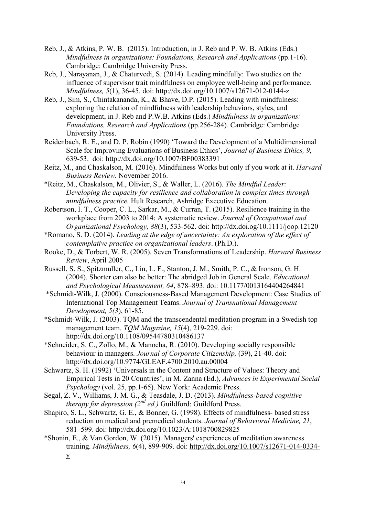- Reb, J., & Atkins, P. W. B. (2015). Introduction, in J. Reb and P. W. B. Atkins (Eds.) *Mindfulness in organizations: Foundations, Research and Applications (pp.1-16).* Cambridge: Cambridge University Press.
- Reb, J., Narayanan, J., & Chaturvedi, S. (2014). Leading mindfully: Two studies on the influence of supervisor trait mindfulness on employee well-being and performance. *Mindfulness, 5*(1), 36-45. doi: http://dx.doi.org/10.1007/s12671-012-0144-z
- Reb, J., Sim, S., Chintakananda, K., & Bhave, D.P. (2015). Leading with mindfulness: exploring the relation of mindfulness with leadership behaviors, styles, and development, in J. Reb and P.W.B. Atkins (Eds.) *Mindfulness in organizations: Foundations, Research and Applications* (pp.256-284)*.* Cambridge: Cambridge University Press.
- Reidenbach, R. E., and D. P. Robin (1990) 'Toward the Development of a Multidimensional Scale for Improving Evaluations of Business Ethics', *Journal of Business Ethics, 9*, 639-53. doi: http://dx.doi.org/10.1007/BF00383391
- Reitz, M., and Chaskalson, M. (2016). Mindfulness Works but only if you work at it. *Harvard Business Review.* November 2016.
- \*Reitz, M., Chaskalson, M., Olivier, S., & Waller, L. (2016). *The Mindful Leader: Developing the capacity for resilience and collaboration in complex times through mindfulness practice.* Hult Research, Ashridge Executive Education.
- Robertson, I. T., Cooper, C. L., Sarkar, M., & Curran, T. (2015). Resilience training in the workplace from 2003 to 2014: A systematic review. *Journal of Occupational and Organizational Psychology, 88*(3), 533-562. doi: http://dx.doi.og/10.1111/joop.12120
- \*Romano, S. D. (2014). *Leading at the edge of uncertainty: An exploration of the effect of contemplative practice on organizational leaders*. (Ph.D.).
- Rooke, D., & Torbert, W. R. (2005). Seven Transformations of Leadership. *Harvard Business Review*, April 2005
- Russell, S. S., Spitzmuller, C., Lin, L. F., Stanton, J. M., Smith, P. C., & Ironson, G. H. (2004). Shorter can also be better: The abridged Job in General Scale. *Educational and Psychological Measurement, 64*, 878–893. doi: 10.1177/0013164404264841
- \*Schmidt-Wilk, J. (2000). Consciousness-Based Management Development: Case Studies of International Top Management Teams. *Journal of Transnational Management Development, 5(3*), 61-85.
- \*Schmidt-Wilk, J. (2003). TQM and the transcendental meditation program in a Swedish top management team. *TQM Magazine, 15*(4), 219-229. doi: http://dx.doi.org/10.1108/09544780310486137
- \*Schneider, S. C., Zollo, M., & Manocha, R. (2010). Developing socially responsible behaviour in managers. *Journal of Corporate Citizenship,* (39), 21-40. doi: http://dx.doi.org/10.9774/GLEAF.4700.2010.au.00004
- Schwartz, S. H. (1992) 'Universals in the Content and Structure of Values: Theory and Empirical Tests in 20 Countries', in M. Zanna (Ed.), *Advances in Experimental Social Psychology* (vol. 25, pp.1-65). New York: Academic Press.
- Segal, Z. V., Williams, J. M. G., & Teasdale, J. D. (2013). *Mindfulness-based cognitive therapy for depression (2nd ed.)* Guildford: Guildford Press.
- Shapiro, S. L., Schwartz, G. E., & Bonner, G. (1998). Effects of mindfulness- based stress reduction on medical and premedical students. *Journal of Behavioral Medicine, 21*, 581–599. doi: http://dx.doi.org/10.1023/A:1018700829825
- \*Shonin, E., & Van Gordon, W. (2015). Managers' experiences of meditation awareness training. *Mindfulness, 6*(4), 899-909. doi: http://dx.doi.org/10.1007/s12671-014-0334 y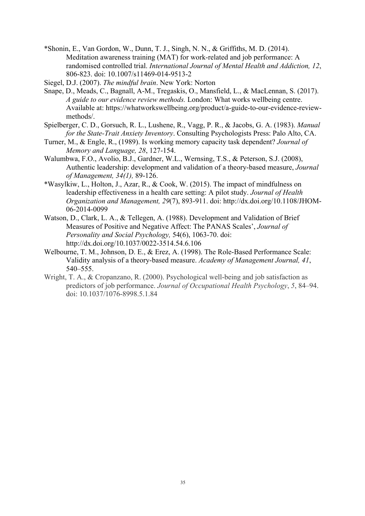- \*Shonin, E., Van Gordon, W., Dunn, T. J., Singh, N. N., & Griffiths, M. D. (2014). Meditation awareness training (MAT) for work-related and job performance: A randomised controlled trial. *International Journal of Mental Health and Addiction, 12*, 806-823. doi: 10.1007/s11469-014-9513-2
- Siegel, D.J. (2007). *The mindful brain*. New York: Norton
- Snape, D., Meads, C., Bagnall, A-M., Tregaskis, O., Mansfield, L., & MacLennan, S. (2017). *A guide to our evidence review methods.* London: What works wellbeing centre. Available at: https://whatworkswellbeing.org/product/a-guide-to-our-evidence-reviewmethods/.
- Spielberger, C. D., Gorsuch, R. L., Lushene, R., Vagg, P. R., & Jacobs, G. A. (1983). *Manual for the State-Trait Anxiety Inventory*. Consulting Psychologists Press: Palo Alto, CA.
- Turner, M., & Engle, R., (1989). Is working memory capacity task dependent? *Journal of Memory and Language, 28*, 127-154.
- Walumbwa, F.O., Avolio, B.J., Gardner, W.L., Wernsing, T.S., & Peterson, S.J. (2008), Authentic leadership: development and validation of a theory-based measure, *Journal of Management, 34(1),* 89-126.
- \*Wasylkiw, L., Holton, J., Azar, R., & Cook, W. (2015). The impact of mindfulness on leadership effectiveness in a health care setting: A pilot study. *Journal of Health Organization and Management, 29*(7), 893-911. doi: http://dx.doi.org/10.1108/JHOM-06-2014-0099
- Watson, D., Clark, L. A., & Tellegen, A. (1988). Development and Validation of Brief Measures of Positive and Negative Affect: The PANAS Scales', *Journal of Personality and Social Psychology,* 54(6), 1063-70. doi: http://dx.doi.org/10.1037/0022-3514.54.6.106
- Welbourne, T. M., Johnson, D. E., & Erez, A. (1998). The Role-Based Performance Scale: Validity analysis of a theory-based measure. *Academy of Management Journal, 41*, 540–555.
- Wright, T. A., & Cropanzano, R. (2000). Psychological well-being and job satisfaction as predictors of job performance. *Journal of Occupational Health Psychology*, *5*, 84–94. doi: 10.1037/1076-8998.5.1.84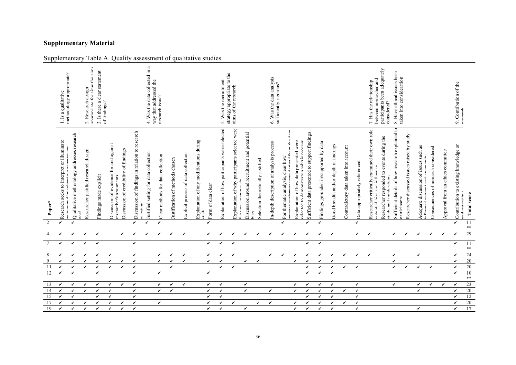|                | $\sim$ $\mu$ $\sim$ $\sim$ $\sim$                                               |                                            |                                           | 1001011                                                   |                                                                            |                                       |                                                |                                      | MOD ADDITIONS OF                          |                                 |                                     | $\ldots$                                |                    |                                               |                                                                             |                                                            |                                   |                                                    |                                                                                   |                                                                                   |                                               |                                        |                                       |                                       |                               |                                                                                               |                                                                           |                                                                |                                             |                                       |                                     |                                   |                                                       |                    |
|----------------|---------------------------------------------------------------------------------|--------------------------------------------|-------------------------------------------|-----------------------------------------------------------|----------------------------------------------------------------------------|---------------------------------------|------------------------------------------------|--------------------------------------|-------------------------------------------|---------------------------------|-------------------------------------|-----------------------------------------|--------------------|-----------------------------------------------|-----------------------------------------------------------------------------|------------------------------------------------------------|-----------------------------------|----------------------------------------------------|-----------------------------------------------------------------------------------|-----------------------------------------------------------------------------------|-----------------------------------------------|----------------------------------------|---------------------------------------|---------------------------------------|-------------------------------|-----------------------------------------------------------------------------------------------|---------------------------------------------------------------------------|----------------------------------------------------------------|---------------------------------------------|---------------------------------------|-------------------------------------|-----------------------------------|-------------------------------------------------------|--------------------|
|                | methodology appropriate?<br>1. Is a qualitative                                 |                                            | 2. Research design<br>annonriate for aime | the sime<br>3. Is there a clear statement<br>of findings? |                                                                            |                                       |                                                | 4. Was the data collected in a       | way that addressed the<br>research issue? |                                 |                                     |                                         |                    | 5. Was the recruitment                        | strategy appropriate to the<br>aims of the research                         |                                                            |                                   | 6. Was the data analysis<br>sufficiently rigorous? |                                                                                   |                                                                                   |                                               |                                        |                                       |                                       |                               | between researcher and<br>7. Has the relationship                                             | participants been adequately<br>considered?                               | 8. Have ethical issues been<br>taken into consideration        |                                             |                                       |                                     |                                   | 9. Contribution of the<br>coorch                      |                    |
| Paper*         | Research seeks to interpret or illuminate<br>tione and/or eubiactiva avnariance | Qualitative methodology addresses research | Researcher justified research design      | Findings made explicit                                    | Discussion of evidence for and against<br>acaomhar <sup>ic</sup> armimanto | Discussion of credibility of findings | Discussion of findings in relation to research | ustified setting for data collection | Clear methods for data collection         | lustification of methods chosen | Explicit process of data collection | Explanation of any modifications during | Form of data clear | Explanation of how participants were selected | Explanation of why participants selected were<br>most ammoniate<br>مم.<br>م | Discussion around recruitment and potential<br><b>Seit</b> | Selection theoretically justified | n-depth description of analysis process            | were derived from the data<br>For thematic analysis, clear how<br>atammiac/thamac | Explanation of how data presented were<br>alantad to damonetrata analveie nrocaes | Sufficient data presented to support findings | Findings grounded in/supported by data | Good breadth and/or depth in findings | Contradictory data taken into account | Data appropriately referenced | examined their own role,<br>influence<br>Researcher critically<br>put<br><b>ntential</b> hias | Researcher responded to events during the<br>implications<br>put<br>thidy | $\mathfrak{c}$<br>Sufficient details of how research explained | Researcher discussed issues raised by study | Adequate discussion of issues such as | Consequences of research considered | Approval from an ethics committee | Contribution to existing knowledge or<br>mderstanding | <b>Total</b> score |
| $\overline{c}$ |                                                                                 | ✔                                          |                                           |                                                           |                                                                            |                                       | J                                              |                                      |                                           |                                 |                                     |                                         | ✔                  |                                               |                                                                             |                                                            |                                   |                                                    |                                                                                   |                                                                                   |                                               |                                        |                                       |                                       | J                             |                                                                                               |                                                                           |                                                                |                                             |                                       |                                     |                                   | ✓                                                     | 11<br>**           |
|                |                                                                                 |                                            |                                           | ✔                                                         |                                                                            | ✓                                     | ✓                                              | ✓                                    | ✔                                         | ✓                               | $\checkmark$                        |                                         | ✓                  |                                               | ✔                                                                           | ✔                                                          | ✓                                 | ✔                                                  | ✔                                                                                 | ✔                                                                                 | ✔                                             | び                                      | $\checkmark$                          |                                       | ✓                             | $\checkmark$                                                                                  |                                                                           | ✓                                                              | $\checkmark$                                | ✓                                     | $\checkmark$                        |                                   |                                                       | 29                 |
|                |                                                                                 |                                            |                                           |                                                           |                                                                            |                                       | $\checkmark$                                   |                                      |                                           |                                 |                                     |                                         | ✓                  |                                               |                                                                             |                                                            |                                   |                                                    |                                                                                   |                                                                                   | ✓                                             | $\checkmark$                           |                                       |                                       |                               |                                                                                               |                                                                           |                                                                |                                             |                                       |                                     |                                   | ✓                                                     | 11<br>$***$        |
| 8              |                                                                                 | ✔                                          | ✓                                         | ✔                                                         | $\checkmark$                                                               |                                       | ✓                                              |                                      | ✓                                         | ✓                               | ✓                                   |                                         | ✓                  | ✓                                             | ✓                                                                           |                                                            |                                   | $\checkmark$                                       | ✓                                                                                 | ✓                                                                                 | ✓                                             | $\checkmark$                           | ✓                                     | $\checkmark$                          | ✓                             | ✓                                                                                             |                                                                           | ✓                                                              |                                             | ✓                                     |                                     |                                   | ✓                                                     | $\overline{24}$    |
| 9              |                                                                                 |                                            |                                           | ✔                                                         | ✓                                                                          | ✔                                     | $\checkmark$                                   |                                      |                                           |                                 | ✓                                   |                                         | ✓                  | ✓                                             |                                                                             | $\checkmark$                                               | ✓                                 |                                                    |                                                                                   | $\checkmark$                                                                      | ✓                                             | ر                                      | ✓                                     |                                       |                               |                                                                                               |                                                                           | ✓                                                              |                                             |                                       |                                     |                                   | ✓                                                     | $20\,$             |
|                |                                                                                 | ✓                                          | $\checkmark$                              | ✔                                                         | ✓                                                                          | ✓                                     | $\checkmark$                                   |                                      |                                           | $\checkmark$                    |                                     |                                         |                    | $\checkmark$                                  | $\checkmark$                                                                |                                                            |                                   |                                                    |                                                                                   |                                                                                   | ✓                                             | $\checkmark$                           | ✓                                     | ✓                                     | ✓                             |                                                                                               |                                                                           | ✓                                                              | ✓                                           | $\checkmark$                          | $\checkmark$                        |                                   | $\checkmark$                                          | $20\,$             |
| 12             |                                                                                 | J                                          |                                           | J                                                         |                                                                            |                                       | $\checkmark$                                   |                                      | ✓                                         |                                 |                                     |                                         | $\checkmark$       |                                               |                                                                             |                                                            |                                   |                                                    |                                                                                   |                                                                                   | ✓                                             | v                                      | J                                     |                                       |                               |                                                                                               |                                                                           |                                                                |                                             |                                       |                                     |                                   | ✓                                                     | 10<br>$***$        |
| 13             |                                                                                 | ✔                                          | ✓                                         | ✔                                                         | ✓                                                                          | ✓                                     | $\checkmark$                                   |                                      | ✓                                         | ✓                               | ✔                                   |                                         | ✓                  | ✔                                             |                                                                             | ✓                                                          |                                   |                                                    |                                                                                   | ✓                                                                                 | ✔                                             | $\checkmark$                           | ✓                                     |                                       | ✓                             |                                                                                               |                                                                           | ✓                                                              |                                             | ✓                                     |                                     | ✓                                 | $\checkmark$                                          | $\overline{23}$    |
| 14             |                                                                                 | ✓                                          | $\checkmark$                              | ✓                                                         | ✓                                                                          |                                       | ✓                                              |                                      | ✓                                         | ✓                               |                                     |                                         | $\checkmark$       | ✓                                             |                                                                             | ✓                                                          |                                   | ✓                                                  |                                                                                   | ✓                                                                                 | ✓                                             | $\checkmark$                           | ✓                                     | ✓                                     | ✔                             |                                                                                               |                                                                           |                                                                |                                             | ✓                                     |                                     |                                   | $\checkmark$                                          | $\overline{20}$    |
| 15             |                                                                                 | ✓                                          |                                           | ✔                                                         | ✓                                                                          |                                       | ✓                                              |                                      |                                           |                                 |                                     |                                         | $\checkmark$       | ✓                                             |                                                                             |                                                            |                                   |                                                    |                                                                                   |                                                                                   | ✔                                             | ✓                                      | ✓                                     |                                       | ✔                             |                                                                                               |                                                                           |                                                                |                                             |                                       |                                     |                                   | ✓                                                     | $\overline{12}$    |
| 17             |                                                                                 | ✓                                          | ✓                                         | ✔                                                         | ✓                                                                          | $\checkmark$                          | ✓                                              |                                      | ✓                                         |                                 |                                     |                                         | $\checkmark$       | ✓                                             | ✓                                                                           |                                                            | ✓                                 | ✔                                                  |                                                                                   | $\checkmark$                                                                      | ✓                                             | ✓                                      | ✓                                     | ✓                                     | ✔                             |                                                                                               |                                                                           |                                                                |                                             |                                       |                                     |                                   | $\checkmark$                                          | 20                 |
| 19             |                                                                                 |                                            |                                           |                                                           |                                                                            | J                                     | $\mathbf{r}$                                   |                                      |                                           |                                 |                                     |                                         | $\checkmark$       | ✓                                             |                                                                             | ✓                                                          |                                   |                                                    |                                                                                   | ✔                                                                                 | J                                             | ر                                      | J                                     |                                       | J                             |                                                                                               |                                                                           |                                                                |                                             | ✔                                     |                                     |                                   | ✓                                                     | 17                 |
|                |                                                                                 |                                            |                                           |                                                           |                                                                            |                                       |                                                |                                      |                                           |                                 |                                     |                                         |                    |                                               |                                                                             |                                                            |                                   |                                                    |                                                                                   |                                                                                   |                                               |                                        |                                       |                                       |                               |                                                                                               |                                                                           |                                                                |                                             |                                       |                                     |                                   |                                                       |                    |

# Supplementary Table A. Quality assessment of qualitative studies

**Supplementary Material**